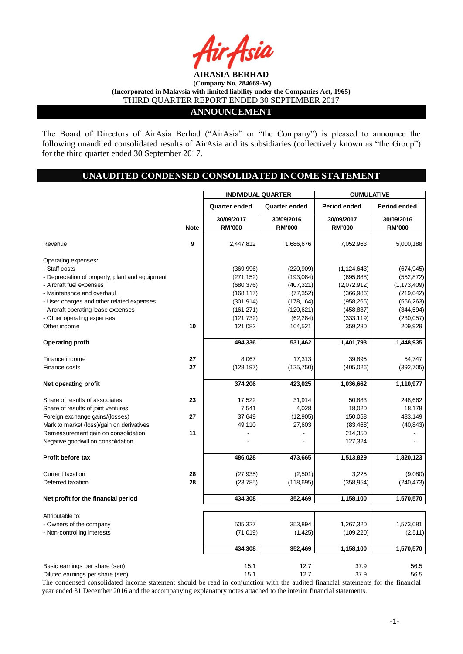

#### **ANNOUNCEMENT**

The Board of Directors of AirAsia Berhad ("AirAsia" or "the Company") is pleased to announce the following unaudited consolidated results of AirAsia and its subsidiaries (collectively known as "the Group") for the third quarter ended 30 September 2017.

# **UNAUDITED CONDENSED CONSOLIDATED INCOME STATEMENT**

|                                                 |             | <b>INDIVIDUAL QUARTER</b>   |                             |                             | <b>CUMULATIVE</b>           |  |
|-------------------------------------------------|-------------|-----------------------------|-----------------------------|-----------------------------|-----------------------------|--|
|                                                 |             | Quarter ended               | Quarter ended               | Period ended                | Period ended                |  |
|                                                 | <b>Note</b> | 30/09/2017<br><b>RM'000</b> | 30/09/2016<br><b>RM'000</b> | 30/09/2017<br><b>RM'000</b> | 30/09/2016<br><b>RM'000</b> |  |
| Revenue                                         | 9           | 2,447,812                   | 1,686,676                   | 7,052,963                   | 5,000,188                   |  |
| Operating expenses:                             |             |                             |                             |                             |                             |  |
| - Staff costs                                   |             | (369, 996)                  | (220, 909)                  | (1, 124, 643)               | (674, 945)                  |  |
| - Depreciation of property, plant and equipment |             | (271, 152)                  | (193, 084)                  | (695, 688)                  | (552, 872)                  |  |
| - Aircraft fuel expenses                        |             | (680, 376)                  | (407,321)                   | (2,072,912)                 | (1, 173, 409)               |  |
| - Maintenance and overhaul                      |             | (168, 117)                  | (77, 352)                   | (366, 986)                  | (219, 042)                  |  |
| - User charges and other related expenses       |             | (301, 914)                  | (178, 164)                  | (958, 265)                  | (566, 263)                  |  |
| - Aircraft operating lease expenses             |             | (161, 271)                  | (120, 621)                  | (458, 837)                  | (344, 594)                  |  |
| - Other operating expenses                      |             | (121, 732)                  | (62, 284)                   | (333, 119)                  | (230, 057)                  |  |
| Other income                                    | 10          | 121,082                     | 104,521                     | 359,280                     | 209,929                     |  |
| <b>Operating profit</b>                         |             | 494,336                     | 531,462                     | 1,401,793                   | 1,448,935                   |  |
| Finance income                                  | 27          | 8,067                       | 17,313                      | 39,895                      | 54,747                      |  |
| Finance costs                                   | 27          | (128, 197)                  | (125, 750)                  | (405, 026)                  | (392, 705)                  |  |
| Net operating profit                            |             | 374,206                     | 423,025                     | 1,036,662                   | 1,110,977                   |  |
| Share of results of associates                  | 23          | 17,522                      | 31,914                      | 50,883                      | 248,662                     |  |
| Share of results of joint ventures              |             | 7,541                       | 4,028                       | 18,020                      | 18,178                      |  |
| Foreign exchange gains/(losses)                 | 27          | 37,649                      | (12,905)                    | 150,058                     | 483,149                     |  |
| Mark to market (loss)/gain on derivatives       |             | 49,110                      | 27,603                      | (83, 468)                   | (40, 843)                   |  |
| Remeasurement gain on consolidation             | 11          |                             |                             | 214,350                     |                             |  |
| Negative goodwill on consolidation              |             |                             |                             | 127,324                     |                             |  |
| <b>Profit before tax</b>                        |             | 486,028                     | 473,665                     | 1,513,829                   | 1,820,123                   |  |
| Current taxation                                | 28          | (27, 935)                   | (2,501)                     | 3,225                       | (9,080)                     |  |
| Deferred taxation                               | 28          | (23, 785)                   | (118, 695)                  | (358, 954)                  | (240, 473)                  |  |
| Net profit for the financial period             |             | 434,308                     | 352,469                     | 1,158,100                   | 1,570,570                   |  |
| Attributable to:                                |             |                             |                             |                             |                             |  |
| - Owners of the company                         |             | 505,327                     | 353,894                     | 1,267,320                   | 1,573,081                   |  |
| - Non-controlling interests                     |             | (71, 019)                   | (1, 425)                    | (109, 220)                  | (2,511)                     |  |
|                                                 |             | 434,308                     | 352,469                     | 1,158,100                   | 1,570,570                   |  |
| Basic earnings per share (sen)                  |             | 15.1                        | 12.7                        | 37.9                        | 56.5                        |  |
| Diluted earnings per share (sen)                |             | 15.1                        | 12.7                        | 37.9                        | 56.5                        |  |

The condensed consolidated income statement should be read in conjunction with the audited financial statements for the financial year ended 31 December 2016 and the accompanying explanatory notes attached to the interim financial statements.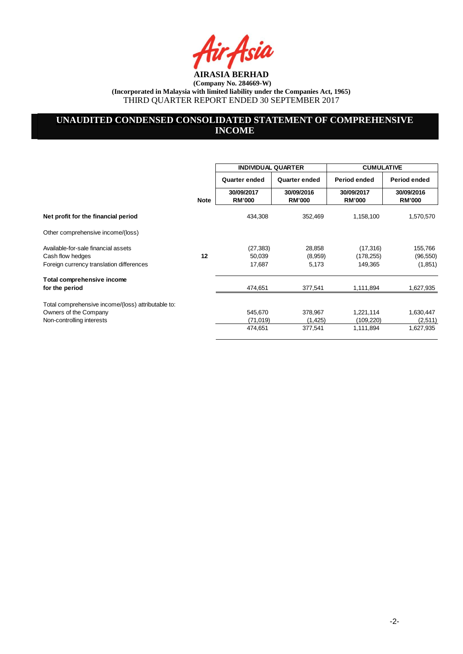ia

# **UNAUDITED CONDENSED CONSOLIDATED STATEMENT OF COMPREHENSIVE INCOME**

|                                                                             |             | <b>INDIVIDUAL QUARTER</b>   |                             | <b>CUMULATIVE</b>           |                             |
|-----------------------------------------------------------------------------|-------------|-----------------------------|-----------------------------|-----------------------------|-----------------------------|
|                                                                             |             | Quarter ended               | Quarter ended               | Period ended                | Period ended                |
|                                                                             | <b>Note</b> | 30/09/2017<br><b>RM'000</b> | 30/09/2016<br><b>RM'000</b> | 30/09/2017<br><b>RM'000</b> | 30/09/2016<br><b>RM'000</b> |
| Net profit for the financial period                                         |             | 434,308                     | 352,469                     | 1,158,100                   | 1,570,570                   |
| Other comprehensive income/(loss)                                           |             |                             |                             |                             |                             |
| Available-for-sale financial assets                                         |             | (27, 383)                   | 28,858                      | (17, 316)                   | 155,766                     |
| Cash flow hedges<br>Foreign currency translation differences                | 12          | 50,039<br>17,687            | (8,959)<br>5,173            | (178, 255)<br>149,365       | (96, 550)<br>(1,851)        |
| Total comprehensive income<br>for the period                                |             | 474,651                     | 377,541                     | 1,111,894                   | 1,627,935                   |
| Total comprehensive income/(loss) attributable to:<br>Owners of the Company |             | 545,670                     | 378,967                     | 1,221,114                   | 1,630,447                   |
| Non-controlling interests                                                   |             | (71, 019)                   | (1, 425)                    | (109, 220)                  | (2,511)                     |
|                                                                             |             | 474,651                     | 377,541                     | 1,111,894                   | 1,627,935                   |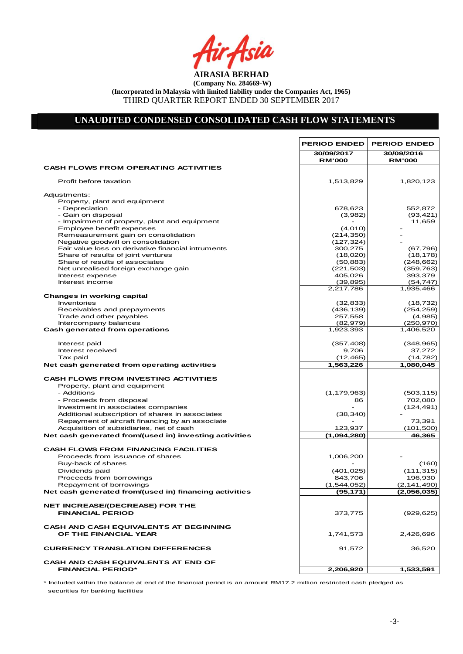Asia

## **UNAUDITED CONDENSED CONSOLIDATED CASH FLOW STATEMENTS**

 $\mathbf{r}$ 

|                                                                        | <b>PERIOD ENDED</b>         | <b>PERIOD ENDED</b>         |
|------------------------------------------------------------------------|-----------------------------|-----------------------------|
|                                                                        | 30/09/2017<br><b>RM'000</b> | 30/09/2016<br><b>RM'000</b> |
| <b>CASH FLOWS FROM OPERATING ACTIVITIES</b>                            |                             |                             |
| Profit before taxation                                                 | 1,513,829                   | 1,820,123                   |
| Adjustments:                                                           |                             |                             |
| Property, plant and equipment                                          |                             |                             |
| - Depreciation                                                         | 678,623                     | 552,872                     |
| - Gain on disposal                                                     | (3,982)                     | (93, 421)                   |
| - Impairment of property, plant and equipment                          |                             | 11,659                      |
| Employee benefit expenses                                              | (4,010)                     |                             |
| Remeasurement gain on consolidation                                    | (214, 350)                  |                             |
| Negative goodwill on consolidation                                     | (127, 324)                  |                             |
| Fair value loss on derivative financial intruments                     | 300,275                     | (67, 796)                   |
| Share of results of joint ventures                                     | (18,020)                    | (18, 178)                   |
| Share of results of associates                                         | (50, 883)                   | (248, 662)                  |
| Net unrealised foreign exchange gain                                   | (221, 503)                  | (359, 763)                  |
| Interest expense                                                       | 405,026                     | 393,379                     |
| Interest income                                                        | (39, 895)                   | (54, 747)                   |
|                                                                        | 2,217,786                   | 1,935,466                   |
| <b>Changes in working capital</b>                                      |                             |                             |
| Inventories                                                            | (32, 833)                   | (18, 732)                   |
| Receivables and prepayments                                            | (436, 139)                  | (254, 259)                  |
| Trade and other payables                                               | 257,558                     | (4,985)                     |
| Intercompany balances                                                  | (82, 979)                   | (250, 970)                  |
| <b>Cash generated from operations</b>                                  | 1,923,393                   | 1,406,520                   |
|                                                                        |                             |                             |
| Interest paid                                                          | (357, 408)                  | (348, 965)                  |
| Interest received                                                      | 9,706                       | 37,272                      |
| Tax paid                                                               | (12, 465)                   | (14, 782)                   |
| Net cash generated from operating activities                           | 1,563,226                   | 1,080,045                   |
| <b>CASH FLOWS FROM INVESTING ACTIVITIES</b>                            |                             |                             |
| Property, plant and equipment                                          |                             |                             |
| - Additions                                                            | (1, 179, 963)               | (503, 115)                  |
| - Proceeds from disposal                                               | 86                          | 702,080                     |
|                                                                        |                             |                             |
| Investment in associates companies                                     |                             | (124,491)                   |
| Additional subscription of shares in associates                        | (38, 340)                   |                             |
| Repayment of aircraft financing by an associate                        |                             | 73,391                      |
| Acquisition of subsidiaries, net of cash                               | 123,937                     | (101,500)                   |
| Net cash generated from/(used in) investing activities                 | (1,094,280)                 | 46,365                      |
| <b>CASH FLOWS FROM FINANCING FACILITIES</b>                            |                             |                             |
| Proceeds from issuance of shares                                       | 1,006,200                   |                             |
| Buy-back of shares                                                     |                             | (160)                       |
| Dividends paid                                                         | (401, 025)                  | (111, 315)                  |
| Proceeds from borrowings                                               | 843,706                     | 196,930                     |
| Repayment of borrowings                                                | (1,544,052)                 | (2, 141, 490)               |
| Net cash generated from/(used in) financing activities                 | (95, 171)                   | (2,056,035)                 |
|                                                                        |                             |                             |
| <b>NET INCREASE/(DECREASE) FOR THE</b>                                 |                             |                             |
| <b>FINANCIAL PERIOD</b>                                                | 373,775                     | (929, 625)                  |
| <b>CASH AND CASH EQUIVALENTS AT BEGINNING</b>                          |                             |                             |
| OF THE FINANCIAL YEAR                                                  | 1,741,573                   | 2,426,696                   |
|                                                                        |                             |                             |
| <b>CURRENCY TRANSLATION DIFFERENCES</b>                                | 91,572                      | 36,520                      |
|                                                                        |                             |                             |
| <b>CASH AND CASH EQUIVALENTS AT END OF</b><br><b>FINANCIAL PERIOD*</b> | 2,206,920                   | 1,533,591                   |
|                                                                        |                             |                             |

Net Cash Flow - \* Included within the balance at end of the financial period is an amount RM17.2 million restricted cash pledged as securities for banking facilities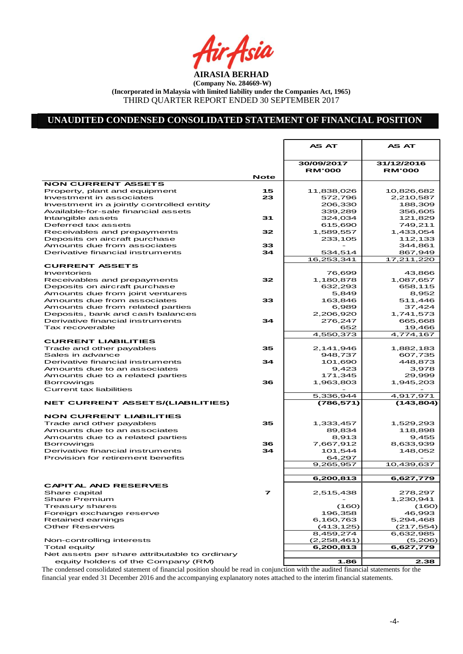Air<sub>t</sub>Asia

## **UNAUDITED CONDENSED CONSOLIDATED STATEMENT OF FINANCIAL POSITION**

|                                                                  |             | <b>AS AT</b>                | <b>AS AT</b>                |
|------------------------------------------------------------------|-------------|-----------------------------|-----------------------------|
|                                                                  |             |                             |                             |
|                                                                  |             | 30/09/2017<br><b>RM'000</b> | 31/12/2016<br><b>RM'000</b> |
|                                                                  | <b>Note</b> |                             |                             |
| <b>NON CURRENT ASSETS</b>                                        |             |                             |                             |
| Property, plant and equipment<br>Investment in associates        | 15<br>23    | 11,838,026<br>572,796       | 10,826,682<br>2,210,587     |
| Investment in a jointly controlled entity                        |             | 206,330                     | 188,309                     |
| Available-for-sale financial assets                              |             | 339,289                     | 356,605                     |
| Intangible assets                                                | 31          | 324,034                     | 121,829                     |
| Deferred tax assets                                              |             | 615,690                     | 749,211                     |
| Receivables and prepayments                                      | 32          | 1,589,557                   | 1,433,054                   |
| Deposits on aircraft purchase                                    |             | 233,105                     | 112,133                     |
| Amounts due from associates                                      | 33          |                             | 344,861                     |
| Derivative financial instruments                                 | 34          | 534,514                     | 867,949                     |
|                                                                  |             | 16,253,341                  | 17,211,220                  |
| <b>CURRENT ASSETS</b>                                            |             |                             |                             |
| Inventories                                                      |             | 76,699                      | 43,866                      |
| Receivables and prepayments                                      | 32          | 1,180,878                   | 1,087,657                   |
| Deposits on aircraft purchase<br>Amounts due from joint ventures |             | 632,293<br>5,849            | 658,115<br>8,952            |
| Amounts due from associates                                      | 33          | 163,846                     | 511,446                     |
| Amounts due from related parties                                 |             | 6,989                       | 37,424                      |
| Deposits, bank and cash balances                                 |             | 2,206,920                   | 1,741,573                   |
| Derivative financial instruments                                 | 34          | 276,247                     | 665,668                     |
| Tax recoverable                                                  |             | 652                         | 19,466                      |
|                                                                  |             | 4,550,373                   | 4,774,167                   |
| <b>CURRENT LIABILITIES</b>                                       |             |                             |                             |
| Trade and other payables                                         | 35          | 2,141,946                   | 1,882,183                   |
| Sales in advance                                                 |             | 948,737                     | 607,735                     |
| Derivative financial instruments                                 | 34          | 101,690                     | 448.873                     |
| Amounts due to an associates                                     |             | 9,423                       | 3,978                       |
| Amounts due to a related parties                                 |             | 171,345                     | 29,999                      |
| <b>Borrowings</b><br>Current tax liabilities                     | 36          | 1,963,803                   | 1,945,203                   |
|                                                                  |             | 5,336,944                   | 4,917,971                   |
| <b>NET CURRENT ASSETS/(LIABILITIES)</b>                          |             | (786,571)                   | (143, 804)                  |
|                                                                  |             |                             |                             |
| <b>NON CURRENT LIABILITIES</b>                                   |             |                             |                             |
| Trade and other payables                                         | 35          | 1,333,457                   | 1,529,293                   |
| Amounts due to an associates                                     |             | 89,834                      | 118,898                     |
| Amounts due to a related parties                                 |             | 8,913                       | 9,455                       |
| <b>Borrowings</b>                                                | 36          | 7,667,912                   | 8,633,939                   |
| Derivative financial instruments                                 | 34          | 101,544                     | 148,052                     |
| Provision for retirement benefits                                |             | 64,297                      | 10,439,637                  |
|                                                                  |             | 9,265,957                   |                             |
|                                                                  |             | 6,200,813                   | 6,627,779                   |
| <b>CAPITAL AND RESERVES</b>                                      |             |                             |                             |
| Share capital                                                    | 7           | 2,515,438                   | 278,297                     |
| <b>Share Premium</b>                                             |             |                             | 1,230,941                   |
| Treasury shares                                                  |             | (160)                       | (160)                       |
| Foreign exchange reserve                                         |             | 196,358                     | 46,993                      |
| Retained earnings                                                |             | 6,160,763                   | 5,294,468                   |
| <b>Other Reserves</b>                                            |             | (413, 125)                  | (217, 554)                  |
|                                                                  |             | 8,459,274                   | 6,632,985                   |
| Non-controlling interests                                        |             | (2,258,461)                 | (5,206)                     |
| Total equity                                                     |             | 6,200,813                   | 6,627,779                   |
| Net assets per share attributable to ordinary                    |             |                             |                             |
| equity holders of the Company (RM)                               |             | 1.86                        | 2.38                        |

The condensed consolidated statement of financial position should be read in conjunction with the audited financial statements for the financial year ended 31 December 2016 and the accompanying explanatory notes attached to the interim financial statements.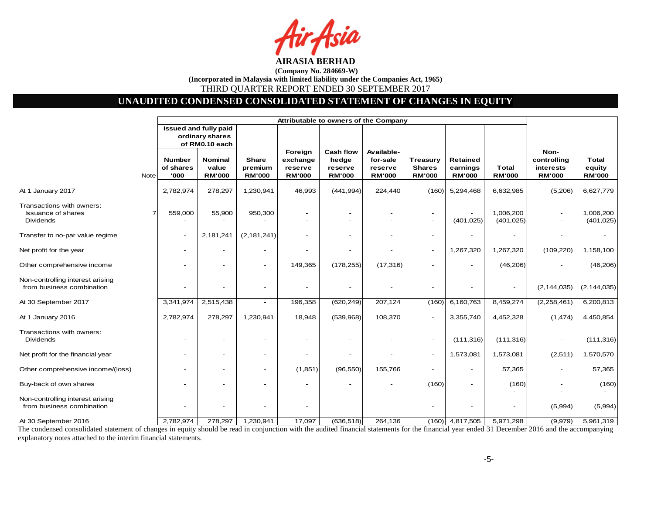# **UNAUDITED CONDENSED CONSOLIDATED STATEMENT OF CHANGES IN EQUITY**

|                                                                            |      | Attributable to owners of the Company |                                                            |                                   |                                                 |                                                       |                                                    |                                                   |                                              |                               |                                                   |                                         |
|----------------------------------------------------------------------------|------|---------------------------------------|------------------------------------------------------------|-----------------------------------|-------------------------------------------------|-------------------------------------------------------|----------------------------------------------------|---------------------------------------------------|----------------------------------------------|-------------------------------|---------------------------------------------------|-----------------------------------------|
|                                                                            |      |                                       | Issued and fully paid<br>ordinary shares<br>of RM0.10 each |                                   |                                                 |                                                       |                                                    |                                                   |                                              |                               |                                                   |                                         |
|                                                                            | Note | <b>Number</b><br>of shares<br>'000    | <b>Nominal</b><br>value<br><b>RM'000</b>                   | Share<br>premium<br><b>RM'000</b> | Foreign<br>exchange<br>reserve<br><b>RM'000</b> | <b>Cash flow</b><br>hedge<br>reserve<br><b>RM'000</b> | Available-<br>for-sale<br>reserve<br><b>RM'000</b> | <b>Treasury</b><br><b>Shares</b><br><b>RM'000</b> | <b>Retained</b><br>earnings<br><b>RM'000</b> | <b>Total</b><br><b>RM'000</b> | Non-<br>controlling<br>interests<br><b>RM'000</b> | <b>Total</b><br>equity<br><b>RM'000</b> |
| At 1 January 2017                                                          |      | 2,782,974                             | 278,297                                                    | 1,230,941                         | 46,993                                          | (441, 994)                                            | 224,440                                            | (160)                                             | 5,294,468                                    | 6,632,985                     | (5,206)                                           | 6,627,779                               |
| Transactions with owners:<br><b>Issuance of shares</b><br><b>Dividends</b> |      | 559,000                               | 55,900                                                     | 950,300                           |                                                 |                                                       |                                                    | $\overline{\phantom{a}}$                          | (401, 025)                                   | 1,006,200<br>(401, 025)       | $\blacksquare$<br>$\overline{\phantom{0}}$        | 1,006,200<br>(401, 025)                 |
| Transfer to no-par value regime                                            |      | $\overline{\phantom{a}}$              | 2,181,241                                                  | (2, 181, 241)                     |                                                 |                                                       |                                                    | $\overline{\phantom{a}}$                          |                                              |                               | $\overline{\phantom{a}}$                          |                                         |
| Net profit for the year                                                    |      | $\overline{\phantom{a}}$              |                                                            | $\overline{\phantom{0}}$          |                                                 |                                                       | $\blacksquare$                                     | $\overline{\phantom{a}}$                          | 1,267,320                                    | 1,267,320                     | (109, 220)                                        | 1,158,100                               |
| Other comprehensive income                                                 |      |                                       |                                                            | $\blacksquare$                    | 149,365                                         | (178, 255)                                            | (17, 316)                                          |                                                   | $\overline{\phantom{a}}$                     | (46, 206)                     |                                                   | (46, 206)                               |
| Non-controlling interest arising<br>from business combination              |      |                                       |                                                            |                                   |                                                 |                                                       | $\overline{\phantom{a}}$                           |                                                   |                                              |                               | (2, 144, 035)                                     | (2, 144, 035)                           |
| At 30 September 2017                                                       |      | 3,341,974                             | 2,515,438                                                  | $\overline{\phantom{a}}$          | 196,358                                         | (620, 249)                                            | 207,124                                            | (160)                                             | 6,160,763                                    | 8,459,274                     | (2, 258, 461)                                     | 6,200,813                               |
| At 1 January 2016                                                          |      | 2,782,974                             | 278,297                                                    | 1,230,941                         | 18,948                                          | (539,968)                                             | 108,370                                            |                                                   | 3,355,740                                    | 4,452,328                     | (1, 474)                                          | 4,450,854                               |
| Transactions with owners:<br><b>Dividends</b>                              |      |                                       |                                                            |                                   |                                                 |                                                       | $\overline{\phantom{a}}$                           | $\overline{\phantom{a}}$                          | (111, 316)                                   | (111, 316)                    |                                                   | (111, 316)                              |
| Net profit for the financial year                                          |      |                                       |                                                            | $\overline{\phantom{a}}$          |                                                 |                                                       |                                                    | $\overline{\phantom{a}}$                          | 1,573,081                                    | 1,573,081                     | (2,511)                                           | 1,570,570                               |
| Other comprehensive income/(loss)                                          |      |                                       |                                                            |                                   | (1,851)                                         | (96, 550)                                             | 155,766                                            |                                                   | $\overline{\phantom{a}}$                     | 57,365                        |                                                   | 57,365                                  |
| Buy-back of own shares                                                     |      |                                       |                                                            |                                   |                                                 |                                                       |                                                    | (160)                                             |                                              | (160)                         |                                                   | (160)                                   |
| Non-controlling interest arising<br>from business combination              |      |                                       |                                                            |                                   |                                                 |                                                       |                                                    |                                                   |                                              |                               | (5,994)                                           | (5,994)                                 |
| At 30 September 2016                                                       |      | 2,782,974                             | 278,297                                                    | 1,230,941                         | 17,097                                          | (636, 518)                                            | 264,136                                            |                                                   | $(160)$ 4,817,505                            | 5,971,298                     | (9,979)                                           | 5,961,319                               |

The condensed consolidated statement of changes in equity should be read in conjunction with the audited financial statements for the financial year ended 31 December 2016 and the accompanying explanatory notes attached to the interim financial statements.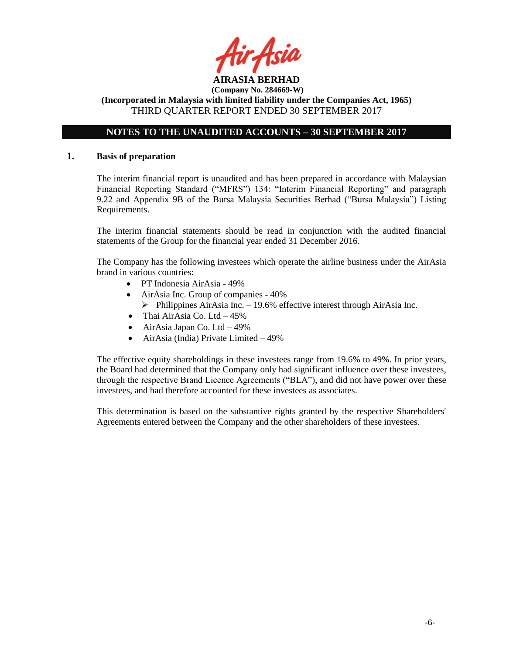

# **NOTES TO THE UNAUDITED ACCOUNTS – 30 SEPTEMBER 2017**

#### **1. Basis of preparation**

The interim financial report is unaudited and has been prepared in accordance with Malaysian Financial Reporting Standard ("MFRS") 134: "Interim Financial Reporting" and paragraph 9.22 and Appendix 9B of the Bursa Malaysia Securities Berhad ("Bursa Malaysia") Listing Requirements.

The interim financial statements should be read in conjunction with the audited financial statements of the Group for the financial year ended 31 December 2016.

The Company has the following investees which operate the airline business under the AirAsia brand in various countries:

- PT Indonesia AirAsia 49%
- AirAsia Inc. Group of companies 40%
	- $\triangleright$  Philippines AirAsia Inc. 19.6% effective interest through AirAsia Inc.
- Thai AirAsia Co. Ltd  $-45\%$
- $\bullet$  AirAsia Japan Co. Ltd 49%
- AirAsia (India) Private Limited 49%

The effective equity shareholdings in these investees range from 19.6% to 49%. In prior years, the Board had determined that the Company only had significant influence over these investees, through the respective Brand Licence Agreements ("BLA"), and did not have power over these investees, and had therefore accounted for these investees as associates.

This determination is based on the substantive rights granted by the respective Shareholders' Agreements entered between the Company and the other shareholders of these investees.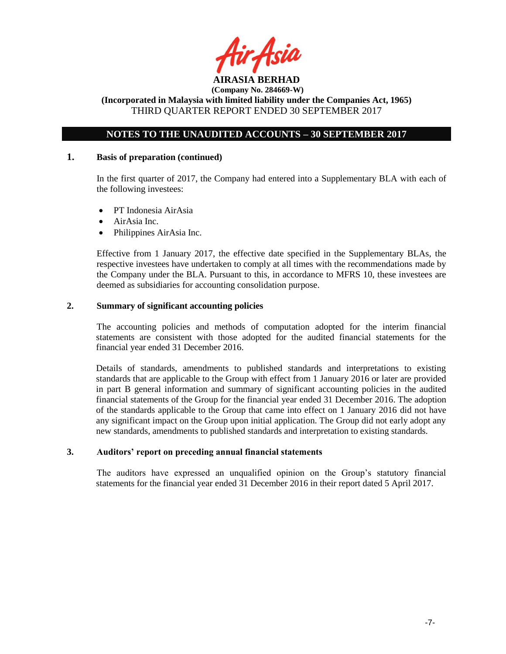

# **NOTES TO THE UNAUDITED ACCOUNTS – 30 SEPTEMBER 2017**

#### **1. Basis of preparation (continued)**

In the first quarter of 2017, the Company had entered into a Supplementary BLA with each of the following investees:

- PT Indonesia AirAsia
- AirAsia Inc.
- Philippines AirAsia Inc.

Effective from 1 January 2017, the effective date specified in the Supplementary BLAs, the respective investees have undertaken to comply at all times with the recommendations made by the Company under the BLA. Pursuant to this, in accordance to MFRS 10, these investees are deemed as subsidiaries for accounting consolidation purpose.

#### **2. Summary of significant accounting policies**

The accounting policies and methods of computation adopted for the interim financial statements are consistent with those adopted for the audited financial statements for the financial year ended 31 December 2016.

Details of standards, amendments to published standards and interpretations to existing standards that are applicable to the Group with effect from 1 January 2016 or later are provided in part B general information and summary of significant accounting policies in the audited financial statements of the Group for the financial year ended 31 December 2016. The adoption of the standards applicable to the Group that came into effect on 1 January 2016 did not have any significant impact on the Group upon initial application. The Group did not early adopt any new standards, amendments to published standards and interpretation to existing standards.

#### **3. Auditors' report on preceding annual financial statements**

The auditors have expressed an unqualified opinion on the Group's statutory financial statements for the financial year ended 31 December 2016 in their report dated 5 April 2017.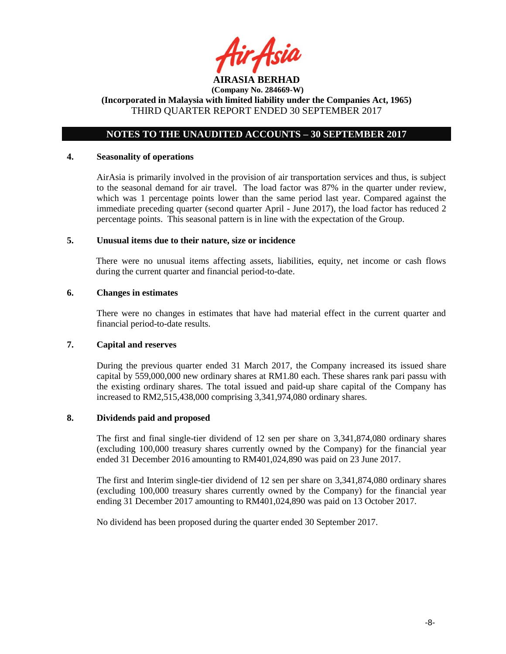

**(Incorporated in Malaysia with limited liability under the Companies Act, 1965)** THIRD QUARTER REPORT ENDED 30 SEPTEMBER 2017

# **NOTES TO THE UNAUDITED ACCOUNTS – 30 SEPTEMBER 2017**

#### **4. Seasonality of operations**

AirAsia is primarily involved in the provision of air transportation services and thus, is subject to the seasonal demand for air travel. The load factor was 87% in the quarter under review, which was 1 percentage points lower than the same period last year. Compared against the immediate preceding quarter (second quarter April - June 2017), the load factor has reduced 2 percentage points. This seasonal pattern is in line with the expectation of the Group.

#### **5. Unusual items due to their nature, size or incidence**

There were no unusual items affecting assets, liabilities, equity, net income or cash flows during the current quarter and financial period-to-date.

#### **6. Changes in estimates**

There were no changes in estimates that have had material effect in the current quarter and financial period-to-date results.

#### **7. Capital and reserves**

During the previous quarter ended 31 March 2017, the Company increased its issued share capital by 559,000,000 new ordinary shares at RM1.80 each. These shares rank pari passu with the existing ordinary shares. The total issued and paid-up share capital of the Company has increased to RM2,515,438,000 comprising 3,341,974,080 ordinary shares.

#### **8. Dividends paid and proposed**

The first and final single-tier dividend of 12 sen per share on 3,341,874,080 ordinary shares (excluding 100,000 treasury shares currently owned by the Company) for the financial year ended 31 December 2016 amounting to RM401,024,890 was paid on 23 June 2017.

The first and Interim single-tier dividend of 12 sen per share on 3,341,874,080 ordinary shares (excluding 100,000 treasury shares currently owned by the Company) for the financial year ending 31 December 2017 amounting to RM401,024,890 was paid on 13 October 2017.

No dividend has been proposed during the quarter ended 30 September 2017.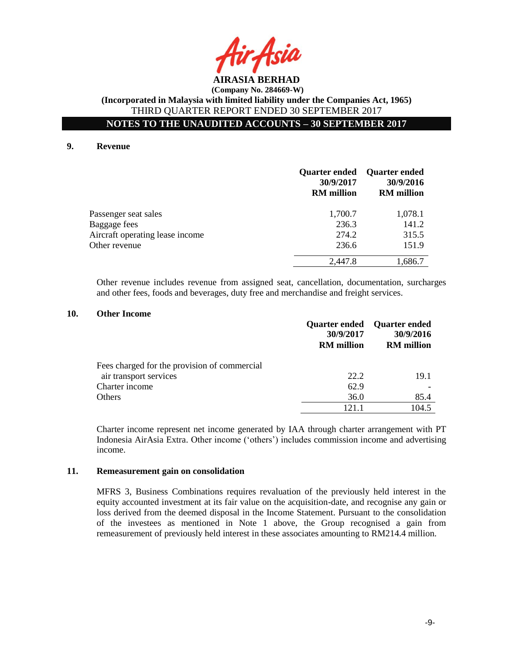

**NOTES TO THE UNAUDITED ACCOUNTS – 30 SEPTEMBER 2017**

#### **9. Revenue**

|                                 | <b>Quarter ended</b><br>30/9/2017<br><b>RM</b> million | <b>Quarter ended</b><br>30/9/2016<br><b>RM</b> million |
|---------------------------------|--------------------------------------------------------|--------------------------------------------------------|
| Passenger seat sales            | 1,700.7                                                | 1,078.1                                                |
| Baggage fees                    | 236.3                                                  | 141.2                                                  |
| Aircraft operating lease income | 274.2                                                  | 315.5                                                  |
| Other revenue                   | 236.6                                                  | 151.9                                                  |
|                                 | 2,447.8                                                | 1,686.7                                                |

Other revenue includes revenue from assigned seat, cancellation, documentation, surcharges and other fees, foods and beverages, duty free and merchandise and freight services.

## **10. Other Income**

|                                              | 30/9/2017<br><b>RM</b> million | <b>Quarter ended</b> Quarter ended<br>30/9/2016<br><b>RM</b> million |
|----------------------------------------------|--------------------------------|----------------------------------------------------------------------|
| Fees charged for the provision of commercial |                                |                                                                      |
| air transport services                       | 22.2                           | 19.1                                                                 |
| Charter income                               | 62.9                           |                                                                      |
| Others                                       | 36.0                           | 85.4                                                                 |
|                                              | 121 1                          | 104.5                                                                |

Charter income represent net income generated by IAA through charter arrangement with PT Indonesia AirAsia Extra. Other income ('others') includes commission income and advertising income.

#### **11. Remeasurement gain on consolidation**

MFRS 3, Business Combinations requires revaluation of the previously held interest in the equity accounted investment at its fair value on the acquisition-date, and recognise any gain or loss derived from the deemed disposal in the Income Statement. Pursuant to the consolidation of the investees as mentioned in Note 1 above, the Group recognised a gain from remeasurement of previously held interest in these associates amounting to RM214.4 million.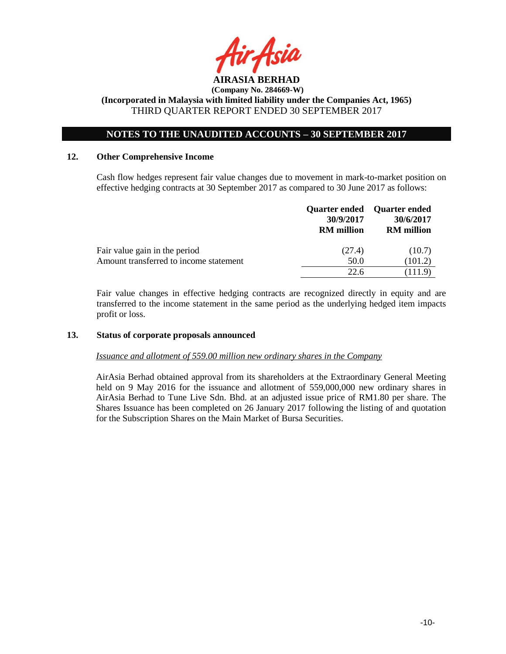

# **NOTES TO THE UNAUDITED ACCOUNTS – 30 SEPTEMBER 2017**

#### **12. Other Comprehensive Income**

Cash flow hedges represent fair value changes due to movement in mark-to-market position on effective hedging contracts at 30 September 2017 as compared to 30 June 2017 as follows:

|                                        | 30/9/2017<br><b>RM</b> million | Quarter ended Quarter ended<br>30/6/2017<br><b>RM</b> million |
|----------------------------------------|--------------------------------|---------------------------------------------------------------|
| Fair value gain in the period          | (27.4)                         | (10.7)                                                        |
| Amount transferred to income statement | 50.0                           | (101.2)                                                       |
|                                        | 22.6                           | (111.9)                                                       |

Fair value changes in effective hedging contracts are recognized directly in equity and are transferred to the income statement in the same period as the underlying hedged item impacts profit or loss.

#### **13. Status of corporate proposals announced**

*Issuance and allotment of 559.00 million new ordinary shares in the Company*

AirAsia Berhad obtained approval from its shareholders at the Extraordinary General Meeting held on 9 May 2016 for the issuance and allotment of 559,000,000 new ordinary shares in AirAsia Berhad to Tune Live Sdn. Bhd. at an adjusted issue price of RM1.80 per share. The Shares Issuance has been completed on 26 January 2017 following the listing of and quotation for the Subscription Shares on the Main Market of Bursa Securities.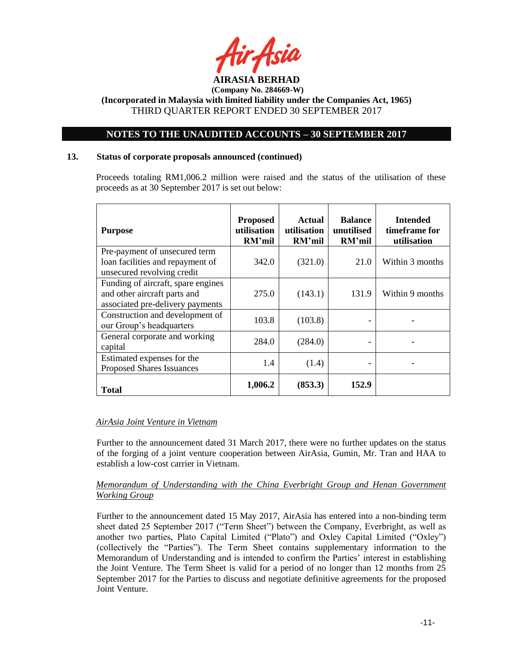

# **NOTES TO THE UNAUDITED ACCOUNTS – 30 SEPTEMBER 2017**

#### **13. Status of corporate proposals announced (continued)**

Proceeds totaling RM1,006.2 million were raised and the status of the utilisation of these proceeds as at 30 September 2017 is set out below:

| <b>Purpose</b>                                                                                         | <b>Proposed</b><br>utilisation<br>RM'mil | Actual<br>utilisation<br>RM'mil | <b>Balance</b><br>unutilised<br>RM'mil | <b>Intended</b><br>timeframe for<br>utilisation |
|--------------------------------------------------------------------------------------------------------|------------------------------------------|---------------------------------|----------------------------------------|-------------------------------------------------|
| Pre-payment of unsecured term<br>loan facilities and repayment of<br>unsecured revolving credit        | 342.0                                    | (321.0)                         | 21.0                                   | Within 3 months                                 |
| Funding of aircraft, spare engines<br>and other aircraft parts and<br>associated pre-delivery payments | 275.0                                    | (143.1)                         | 131.9                                  | Within 9 months                                 |
| Construction and development of<br>our Group's headquarters                                            | 103.8                                    | (103.8)                         |                                        |                                                 |
| General corporate and working<br>capital                                                               | 284.0                                    | (284.0)                         |                                        |                                                 |
| Estimated expenses for the<br><b>Proposed Shares Issuances</b>                                         | 1.4                                      | (1.4)                           |                                        |                                                 |
| <b>Total</b>                                                                                           | 1,006.2                                  | (853.3)                         | 152.9                                  |                                                 |

## *AirAsia Joint Venture in Vietnam*

Further to the announcement dated 31 March 2017, there were no further updates on the status of the forging of a joint venture cooperation between AirAsia, Gumin, Mr. Tran and HAA to establish a low-cost carrier in Vietnam.

#### *Memorandum of Understanding with the China Everbright Group and Henan Government Working Group*

Further to the announcement dated 15 May 2017, AirAsia has entered into a non-binding term sheet dated 25 September 2017 ("Term Sheet") between the Company, Everbright, as well as another two parties, Plato Capital Limited ("Plato") and Oxley Capital Limited ("Oxley") (collectively the "Parties"). The Term Sheet contains supplementary information to the Memorandum of Understanding and is intended to confirm the Parties' interest in establishing the Joint Venture. The Term Sheet is valid for a period of no longer than 12 months from 25 September 2017 for the Parties to discuss and negotiate definitive agreements for the proposed Joint Venture.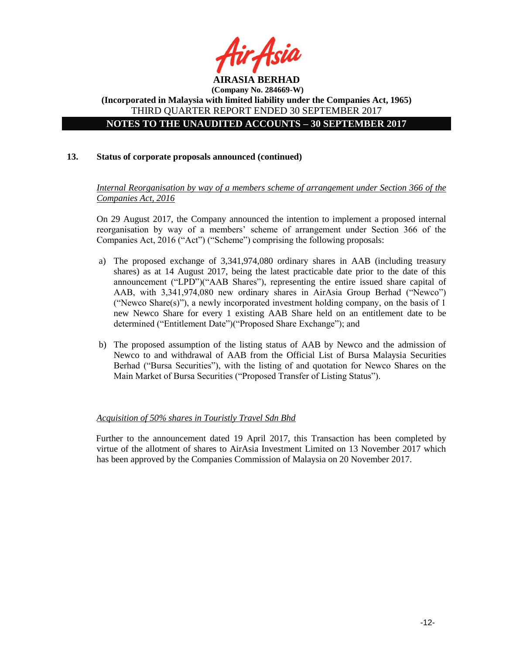

**(Company No. 284669-W) (Incorporated in Malaysia with limited liability under the Companies Act, 1965)** THIRD QUARTER REPORT ENDED 30 SEPTEMBER 2017 **NOTES TO THE UNAUDITED ACCOUNTS – 30 SEPTEMBER 2017**

# **13. Status of corporate proposals announced (continued)**

*Internal Reorganisation by way of a members scheme of arrangement under Section 366 of the Companies Act, 2016*

On 29 August 2017, the Company announced the intention to implement a proposed internal reorganisation by way of a members' scheme of arrangement under Section 366 of the Companies Act, 2016 ("Act") ("Scheme") comprising the following proposals:

- a) The proposed exchange of 3,341,974,080 ordinary shares in AAB (including treasury shares) as at 14 August 2017, being the latest practicable date prior to the date of this announcement ("LPD")("AAB Shares"), representing the entire issued share capital of AAB, with 3,341,974,080 new ordinary shares in AirAsia Group Berhad ("Newco") ("Newco Share(s)"), a newly incorporated investment holding company, on the basis of 1 new Newco Share for every 1 existing AAB Share held on an entitlement date to be determined ("Entitlement Date")("Proposed Share Exchange"); and
- b) The proposed assumption of the listing status of AAB by Newco and the admission of Newco to and withdrawal of AAB from the Official List of Bursa Malaysia Securities Berhad ("Bursa Securities"), with the listing of and quotation for Newco Shares on the Main Market of Bursa Securities ("Proposed Transfer of Listing Status").

#### *Acquisition of 50% shares in Touristly Travel Sdn Bhd*

Further to the announcement dated 19 April 2017, this Transaction has been completed by virtue of the allotment of shares to AirAsia Investment Limited on 13 November 2017 which has been approved by the Companies Commission of Malaysia on 20 November 2017.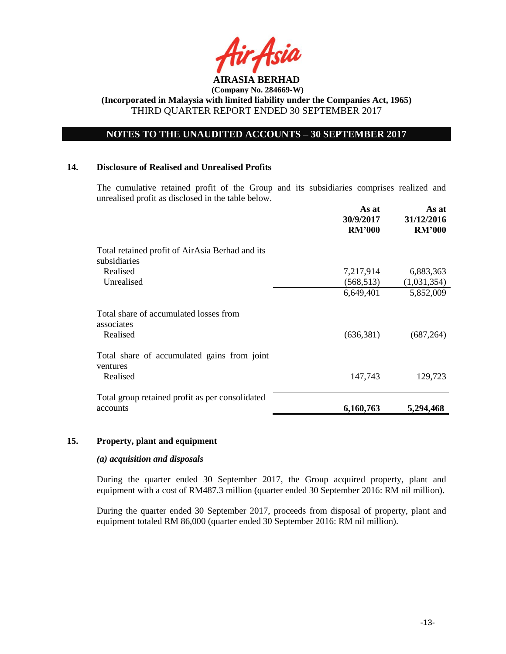

# **NOTES TO THE UNAUDITED ACCOUNTS – 30 SEPTEMBER 2017**

#### **14. Disclosure of Realised and Unrealised Profits**

The cumulative retained profit of the Group and its subsidiaries comprises realized and unrealised profit as disclosed in the table below.

|                                                                 | As at<br>30/9/2017<br><b>RM'000</b> | As at<br>31/12/2016<br><b>RM'000</b> |
|-----------------------------------------------------------------|-------------------------------------|--------------------------------------|
| Total retained profit of AirAsia Berhad and its<br>subsidiaries |                                     |                                      |
| Realised                                                        | 7,217,914                           | 6,883,363                            |
| Unrealised                                                      | (568, 513)                          | (1,031,354)                          |
|                                                                 | 6,649,401                           | 5,852,009                            |
| Total share of accumulated losses from<br>associates            |                                     |                                      |
| Realised                                                        | (636, 381)                          | (687, 264)                           |
| Total share of accumulated gains from joint<br>ventures         |                                     |                                      |
| Realised                                                        | 147,743                             | 129,723                              |
| Total group retained profit as per consolidated                 |                                     |                                      |
| accounts                                                        | 6,160,763                           | 5,294,468                            |

#### **15. Property, plant and equipment**

#### *(a) acquisition and disposals*

During the quarter ended 30 September 2017, the Group acquired property, plant and equipment with a cost of RM487.3 million (quarter ended 30 September 2016: RM nil million).

During the quarter ended 30 September 2017, proceeds from disposal of property, plant and equipment totaled RM 86,000 (quarter ended 30 September 2016: RM nil million).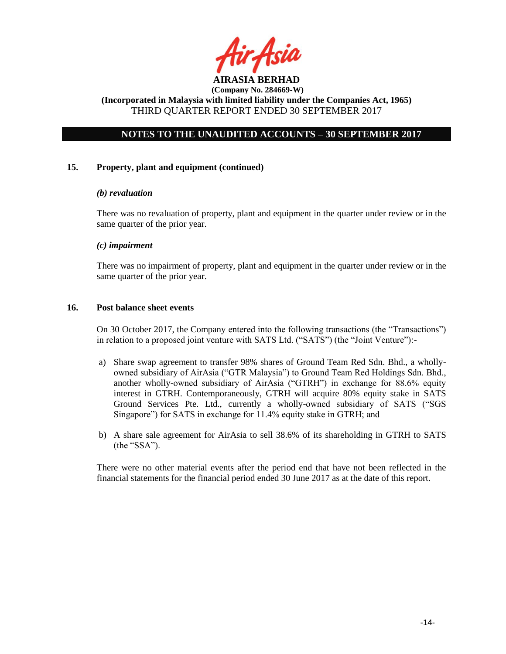

# **NOTES TO THE UNAUDITED ACCOUNTS – 30 SEPTEMBER 2017**

#### **15. Property, plant and equipment (continued)**

#### *(b) revaluation*

There was no revaluation of property, plant and equipment in the quarter under review or in the same quarter of the prior year.

#### *(c) impairment*

There was no impairment of property, plant and equipment in the quarter under review or in the same quarter of the prior year.

#### **16. Post balance sheet events**

On 30 October 2017, the Company entered into the following transactions (the "Transactions") in relation to a proposed joint venture with SATS Ltd. ("SATS") (the "Joint Venture"):-

- a) Share swap agreement to transfer 98% shares of Ground Team Red Sdn. Bhd., a whollyowned subsidiary of AirAsia ("GTR Malaysia") to Ground Team Red Holdings Sdn. Bhd., another wholly-owned subsidiary of AirAsia ("GTRH") in exchange for 88.6% equity interest in GTRH. Contemporaneously, GTRH will acquire 80% equity stake in SATS Ground Services Pte. Ltd., currently a wholly-owned subsidiary of SATS ("SGS Singapore") for SATS in exchange for 11.4% equity stake in GTRH; and
- b) A share sale agreement for AirAsia to sell 38.6% of its shareholding in GTRH to SATS (the "SSA").

There were no other material events after the period end that have not been reflected in the financial statements for the financial period ended 30 June 2017 as at the date of this report.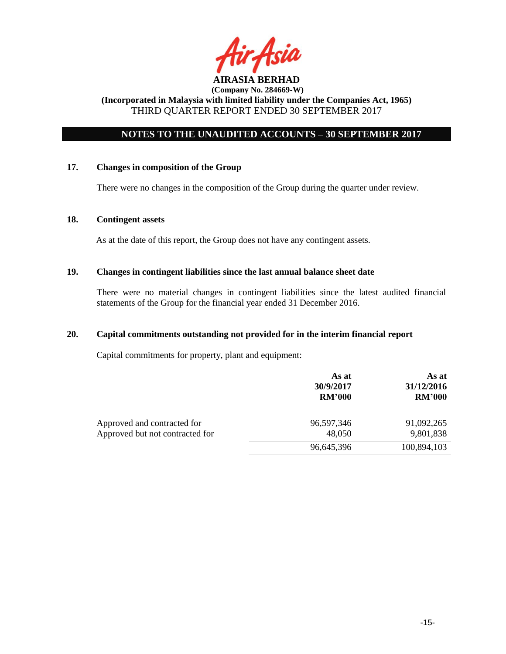

# **NOTES TO THE UNAUDITED ACCOUNTS – 30 SEPTEMBER 2017**

#### **17. Changes in composition of the Group**

There were no changes in the composition of the Group during the quarter under review.

#### **18. Contingent assets**

As at the date of this report, the Group does not have any contingent assets.

#### **19. Changes in contingent liabilities since the last annual balance sheet date**

There were no material changes in contingent liabilities since the latest audited financial statements of the Group for the financial year ended 31 December 2016.

#### **20. Capital commitments outstanding not provided for in the interim financial report**

Capital commitments for property, plant and equipment:

|                                                                | As at<br>30/9/2017<br><b>RM'000</b> | As at<br>31/12/2016<br><b>RM'000</b> |
|----------------------------------------------------------------|-------------------------------------|--------------------------------------|
| Approved and contracted for<br>Approved but not contracted for | 96,597,346<br>48,050                | 91,092,265<br>9,801,838              |
|                                                                | 96,645,396                          | 100,894,103                          |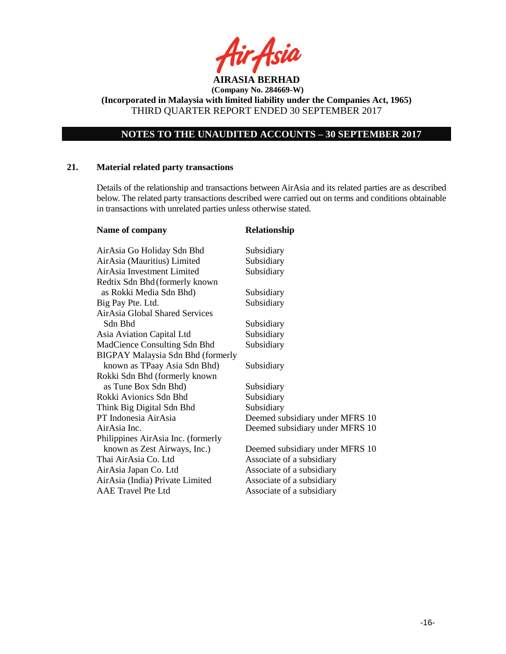

**(Incorporated in Malaysia with limited liability under the Companies Act, 1965)** THIRD QUARTER REPORT ENDED 30 SEPTEMBER 2017

# **NOTES TO THE UNAUDITED ACCOUNTS – 30 SEPTEMBER 2017**

#### **21. Material related party transactions**

Details of the relationship and transactions between AirAsia and its related parties are as described below. The related party transactions described were carried out on terms and conditions obtainable in transactions with unrelated parties unless otherwise stated.

| Name of company                          | Relationship                    |
|------------------------------------------|---------------------------------|
| AirAsia Go Holiday Sdn Bhd               | Subsidiary                      |
| AirAsia (Mauritius) Limited              | Subsidiary                      |
| AirAsia Investment Limited               | Subsidiary                      |
| Redtix Sdn Bhd (formerly known           |                                 |
| as Rokki Media Sdn Bhd)                  | Subsidiary                      |
| Big Pay Pte. Ltd.                        | Subsidiary                      |
| AirAsia Global Shared Services           |                                 |
| Sdn Bhd                                  | Subsidiary                      |
| Asia Aviation Capital Ltd                | Subsidiary                      |
| MadCience Consulting Sdn Bhd             | Subsidiary                      |
| <b>BIGPAY Malaysia Sdn Bhd (formerly</b> |                                 |
| known as TPaay Asia Sdn Bhd)             | Subsidiary                      |
| Rokki Sdn Bhd (formerly known            |                                 |
| as Tune Box Sdn Bhd)                     | Subsidiary                      |
| Rokki Avionics Sdn Bhd                   | Subsidiary                      |
| Think Big Digital Sdn Bhd                | Subsidiary                      |
| PT Indonesia AirAsia                     | Deemed subsidiary under MFRS 10 |
| AirAsia Inc.                             | Deemed subsidiary under MFRS 10 |
| Philippines AirAsia Inc. (formerly       |                                 |
| known as Zest Airways, Inc.)             | Deemed subsidiary under MFRS 10 |
| Thai AirAsia Co. Ltd                     | Associate of a subsidiary       |
| AirAsia Japan Co. Ltd                    | Associate of a subsidiary       |
| AirAsia (India) Private Limited          | Associate of a subsidiary       |
| <b>AAE Travel Pte Ltd</b>                | Associate of a subsidiary       |
|                                          |                                 |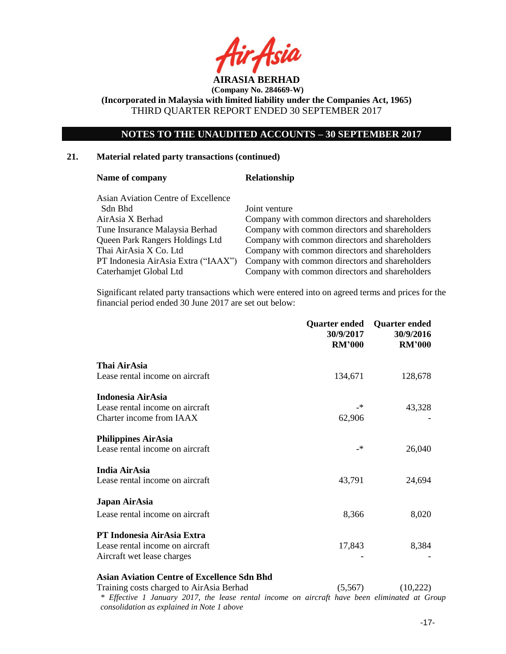

**(Incorporated in Malaysia with limited liability under the Companies Act, 1965)** THIRD QUARTER REPORT ENDED 30 SEPTEMBER 2017

# **NOTES TO THE UNAUDITED ACCOUNTS – 30 SEPTEMBER 2017**

#### **21. Material related party transactions (continued)**

#### Name of company **Relationship**

Asian Aviation Centre of Excellence Sdn Bhd Joint venture

AirAsia X Berhad Company with common directors and shareholders Tune Insurance Malaysia Berhad Company with common directors and shareholders Queen Park Rangers Holdings Ltd Company with common directors and shareholders Thai AirAsia X Co. Ltd Company with common directors and shareholders PT Indonesia AirAsia Extra ("IAAX") Company with common directors and shareholders Caterhamjet Global Ltd Company with common directors and shareholders

Significant related party transactions which were entered into on agreed terms and prices for the financial period ended 30 June 2017 are set out below:

|                                 | Quarter ended<br>30/9/2017<br><b>RM'000</b> | <b>Quarter ended</b><br>30/9/2016<br><b>RM'000</b> |
|---------------------------------|---------------------------------------------|----------------------------------------------------|
| Thai AirAsia                    |                                             |                                                    |
| Lease rental income on aircraft | 134,671                                     | 128,678                                            |
| Indonesia AirAsia               |                                             |                                                    |
| Lease rental income on aircraft | _*                                          | 43,328                                             |
| Charter income from IAAX        | 62,906                                      |                                                    |
| <b>Philippines AirAsia</b>      |                                             |                                                    |
| Lease rental income on aircraft | _*                                          | 26,040                                             |
| <b>India AirAsia</b>            |                                             |                                                    |
| Lease rental income on aircraft | 43,791                                      | 24,694                                             |
| Japan AirAsia                   |                                             |                                                    |
| Lease rental income on aircraft | 8,366                                       | 8,020                                              |
| PT Indonesia AirAsia Extra      |                                             |                                                    |
| Lease rental income on aircraft | 17,843                                      | 8,384                                              |
| Aircraft wet lease charges      |                                             |                                                    |
|                                 |                                             |                                                    |

## **Asian Aviation Centre of Excellence Sdn Bhd**

Training costs charged to AirAsia Berhad (5,567) (10,222) *\* Effective 1 January 2017, the lease rental income on aircraft have been eliminated at Group consolidation as explained in Note 1 above*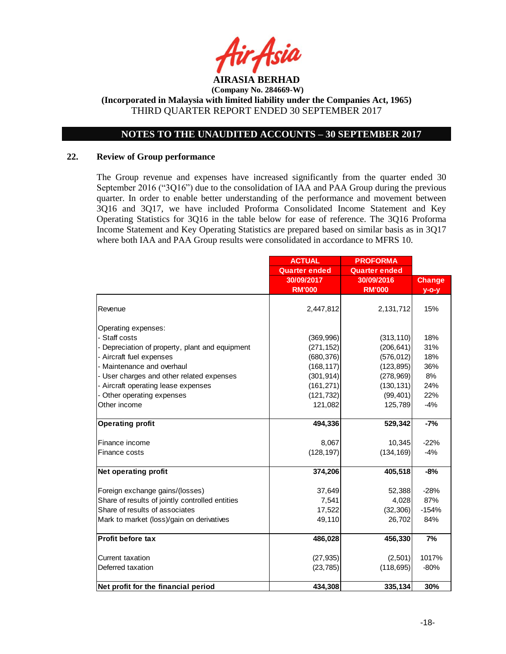

# **NOTES TO THE UNAUDITED ACCOUNTS – 30 SEPTEMBER 2017**

#### **22. Review of Group performance**

The Group revenue and expenses have increased significantly from the quarter ended 30 September 2016 ("3Q16") due to the consolidation of IAA and PAA Group during the previous quarter. In order to enable better understanding of the performance and movement between 3Q16 and 3Q17, we have included Proforma Consolidated Income Statement and Key Operating Statistics for 3Q16 in the table below for ease of reference. The 3Q16 Proforma Income Statement and Key Operating Statistics are prepared based on similar basis as in 3Q17 where both IAA and PAA Group results were consolidated in accordance to MFRS 10.

|                                                 | <b>ACTUAL</b>        | <b>PROFORMA</b>      |               |
|-------------------------------------------------|----------------------|----------------------|---------------|
|                                                 | <b>Quarter ended</b> | <b>Quarter ended</b> |               |
|                                                 | 30/09/2017           | 30/09/2016           | <b>Change</b> |
|                                                 | <b>RM'000</b>        | <b>RM'000</b>        | $y$ -o-y      |
| Revenue                                         | 2,447,812            | 2,131,712            | 15%           |
| Operating expenses:                             |                      |                      |               |
| - Staff costs                                   | (369, 996)           | (313, 110)           | 18%           |
| - Depreciation of property, plant and equipment | (271, 152)           | (206, 641)           | 31%           |
| - Aircraft fuel expenses                        | (680, 376)           | (576, 012)           | 18%           |
| - Maintenance and overhaul                      | (168, 117)           | (123, 895)           | 36%           |
| - User charges and other related expenses       | (301, 914)           | (278, 969)           | 8%            |
| - Aircraft operating lease expenses             | (161, 271)           | (130, 131)           | 24%           |
| - Other operating expenses                      | (121, 732)           | (99, 401)            | 22%           |
| Other income                                    | 121,082              | 125,789              | $-4%$         |
|                                                 |                      |                      |               |
| <b>Operating profit</b>                         | 494,336              | 529,342              | $-7%$         |
| Finance income                                  | 8,067                | 10,345               | $-22%$        |
| Finance costs                                   | (128, 197)           | (134, 169)           | $-4%$         |
| Net operating profit                            | 374,206              | 405,518              | $-8%$         |
| Foreign exchange gains/(losses)                 | 37,649               | 52,388               | $-28%$        |
| Share of results of jointly controlled entities | 7,541                | 4,028                | 87%           |
| Share of results of associates                  | 17,522               | (32, 306)            | $-154%$       |
| Mark to market (loss)/gain on derivatives       | 49,110               | 26,702               | 84%           |
|                                                 |                      |                      |               |
| Profit before tax                               | 486,028              | 456,330              | 7%            |
| Current taxation                                | (27, 935)            | (2,501)              | 1017%         |
| Deferred taxation                               | (23, 785)            | (118, 695)           | $-80%$        |
| Net profit for the financial period             | 434,308              |                      | 30%           |
|                                                 |                      | 335,134              |               |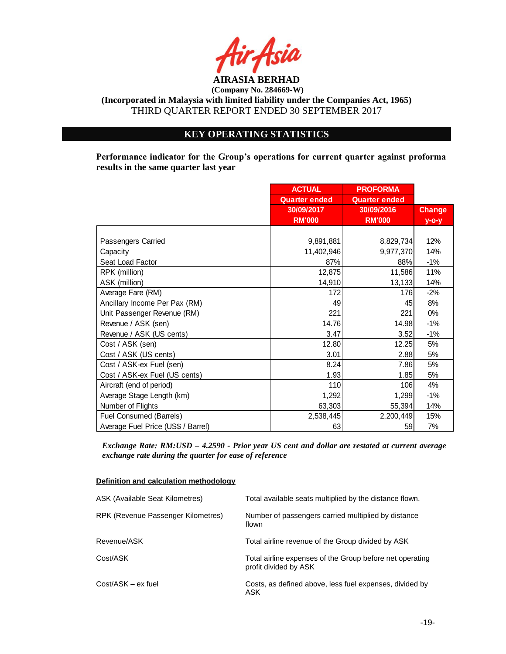

**(Incorporated in Malaysia with limited liability under the Companies Act, 1965)** THIRD QUARTER REPORT ENDED 30 SEPTEMBER 2017

# **KEY OPERATING STATISTICS**

**Performance indicator for the Group's operations for current quarter against proforma results in the same quarter last year**

|                                    | <b>ACTUAL</b>        | <b>PROFORMA</b>      |               |
|------------------------------------|----------------------|----------------------|---------------|
|                                    | <b>Quarter ended</b> | <b>Quarter ended</b> |               |
|                                    | 30/09/2017           | 30/09/2016           | <b>Change</b> |
|                                    | <b>RM'000</b>        | <b>RM'000</b>        | $y$ -o-y      |
|                                    |                      |                      |               |
| Passengers Carried                 | 9,891,881            | 8,829,734            | 12%           |
| Capacity                           | 11,402,946           | 9,977,370            | 14%           |
| Seat Load Factor                   | 87%                  | 88%                  | $-1\%$        |
| RPK (million)                      | 12,875               | 11,586               | 11%           |
| ASK (million)                      | 14,910               | 13,133               | 14%           |
| Average Fare (RM)                  | 172                  | 176                  | $-2%$         |
| Ancillary Income Per Pax (RM)      | 49                   | 45                   | 8%            |
| Unit Passenger Revenue (RM)        | 221                  | 221                  | 0%            |
| Revenue / ASK (sen)                | 14.76                | 14.98                | $-1%$         |
| Revenue / ASK (US cents)           | 3.47                 | 3.52                 | $-1%$         |
| Cost / ASK (sen)                   | 12.80                | 12.25                | 5%            |
| Cost / ASK (US cents)              | 3.01                 | 2.88                 | 5%            |
| Cost / ASK-ex Fuel (sen)           | 8.24                 | 7.86                 | 5%            |
| Cost / ASK-ex Fuel (US cents)      | 1.93                 | 1.85                 | 5%            |
| Aircraft (end of period)           | 110                  | 106                  | 4%            |
| Average Stage Length (km)          | 1,292                | 1,299                | $-1%$         |
| Number of Flights                  | 63,303               | 55,394               | 14%           |
| Fuel Consumed (Barrels)            | 2,538,445            | 2,200,449            | 15%           |
| Average Fuel Price (US\$ / Barrel) | 63                   | 59                   | 7%            |

*Exchange Rate: RM:USD – 4.2590 - Prior year US cent and dollar are restated at current average exchange rate during the quarter for ease of reference*

#### **Definition and calculation methodology**

| ASK (Available Seat Kilometres)    | Total available seats multiplied by the distance flown.                           |
|------------------------------------|-----------------------------------------------------------------------------------|
| RPK (Revenue Passenger Kilometres) | Number of passengers carried multiplied by distance<br>flown                      |
| Revenue/ASK                        | Total airline revenue of the Group divided by ASK                                 |
| Cost/ASK                           | Total airline expenses of the Group before net operating<br>profit divided by ASK |
| $Cost/ASK - ex fuel$               | Costs, as defined above, less fuel expenses, divided by<br>ASK                    |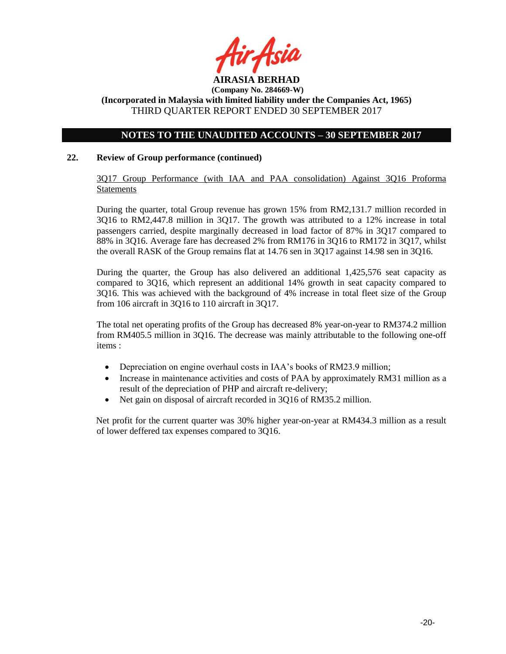

# **(Incorporated in Malaysia with limited liability under the Companies Act, 1965)** THIRD QUARTER REPORT ENDED 30 SEPTEMBER 2017

## **NOTES TO THE UNAUDITED ACCOUNTS – 30 SEPTEMBER 2017**

#### **22. Review of Group performance (continued)**

3Q17 Group Performance (with IAA and PAA consolidation) Against 3Q16 Proforma **Statements** 

During the quarter, total Group revenue has grown 15% from RM2,131.7 million recorded in 3Q16 to RM2,447.8 million in 3Q17. The growth was attributed to a 12% increase in total passengers carried, despite marginally decreased in load factor of 87% in 3Q17 compared to 88% in 3Q16. Average fare has decreased 2% from RM176 in 3Q16 to RM172 in 3Q17, whilst the overall RASK of the Group remains flat at 14.76 sen in 3Q17 against 14.98 sen in 3Q16.

During the quarter, the Group has also delivered an additional 1,425,576 seat capacity as compared to 3Q16, which represent an additional 14% growth in seat capacity compared to 3Q16. This was achieved with the background of 4% increase in total fleet size of the Group from 106 aircraft in 3Q16 to 110 aircraft in 3Q17.

The total net operating profits of the Group has decreased 8% year-on-year to RM374.2 million from RM405.5 million in 3Q16. The decrease was mainly attributable to the following one-off items :

- Depreciation on engine overhaul costs in IAA's books of RM23.9 million;
- Increase in maintenance activities and costs of PAA by approximately RM31 million as a result of the depreciation of PHP and aircraft re-delivery;
- Net gain on disposal of aircraft recorded in 3Q16 of RM35.2 million.

Net profit for the current quarter was 30% higher year-on-year at RM434.3 million as a result of lower deffered tax expenses compared to 3Q16.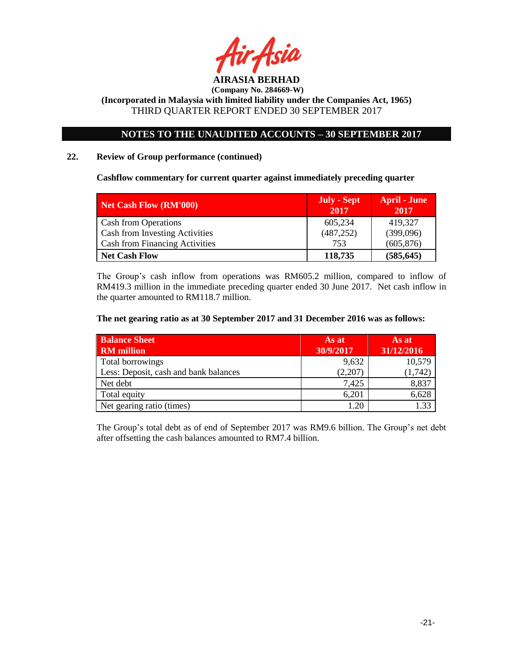

# **NOTES TO THE UNAUDITED ACCOUNTS – 30 SEPTEMBER 2017**

## **22. Review of Group performance (continued)**

**Cashflow commentary for current quarter against immediately preceding quarter**

| Net Cash Flow (RM'000)                | July - Sept<br>2017 | <b>April - June</b><br>2017 |
|---------------------------------------|---------------------|-----------------------------|
| <b>Cash from Operations</b>           | 605,234             | 419,327                     |
| <b>Cash from Investing Activities</b> | (487, 252)          | (399,096)                   |
| <b>Cash from Financing Activities</b> | 753                 | (605, 876)                  |
| <b>Net Cash Flow</b>                  | 118,735             | (585, 645)                  |

The Group's cash inflow from operations was RM605.2 million, compared to inflow of RM419.3 million in the immediate preceding quarter ended 30 June 2017. Net cash inflow in the quarter amounted to RM118.7 million.

#### **The net gearing ratio as at 30 September 2017 and 31 December 2016 was as follows:**

| <b>Balance Sheet</b><br><b>RM</b> million | As at<br>30/9/2017 | As at<br>31/12/2016 |
|-------------------------------------------|--------------------|---------------------|
| Total borrowings                          | 9,632              | 10,579              |
| Less: Deposit, cash and bank balances     | (2,207)            | (1,742)             |
| Net debt                                  | 7,425              | 8,837               |
| Total equity                              | 6,201              | 6,628               |
| Net gearing ratio (times)                 |                    | .33                 |

The Group's total debt as of end of September 2017 was RM9.6 billion. The Group's net debt after offsetting the cash balances amounted to RM7.4 billion.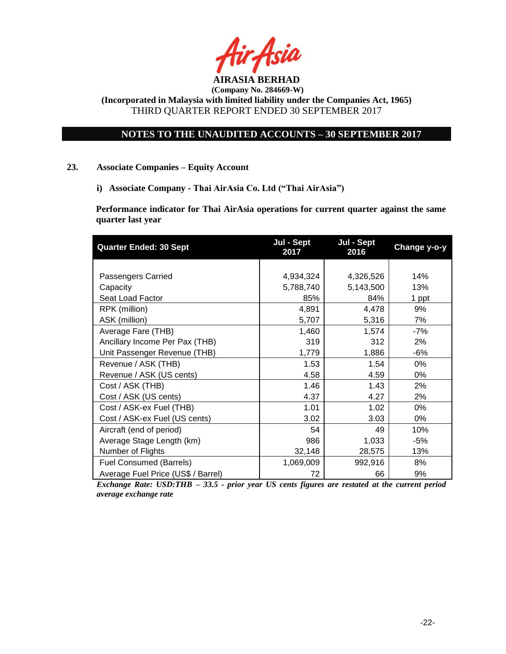

**(Incorporated in Malaysia with limited liability under the Companies Act, 1965)** THIRD QUARTER REPORT ENDED 30 SEPTEMBER 2017

# **NOTES TO THE UNAUDITED ACCOUNTS – 30 SEPTEMBER 2017**

#### **23. Associate Companies – Equity Account**

**i) Associate Company - Thai AirAsia Co. Ltd ("Thai AirAsia")**

**Performance indicator for Thai AirAsia operations for current quarter against the same quarter last year**

| <b>Quarter Ended: 30 Sept</b>      | Jul - Sept<br>2017 | Jul - Sept<br>2016 | Change y-o-y |
|------------------------------------|--------------------|--------------------|--------------|
|                                    |                    |                    |              |
| Passengers Carried                 | 4,934,324          | 4,326,526          | 14%          |
| Capacity                           | 5,788,740          | 5,143,500          | 13%          |
| Seat Load Factor                   | 85%                | 84%                | 1 ppt        |
| RPK (million)                      | 4,891              | 4,478              | 9%           |
| ASK (million)                      | 5,707              | 5,316              | 7%           |
| Average Fare (THB)                 | 1,460              | 1,574              | $-7%$        |
| Ancillary Income Per Pax (THB)     | 319                | 312                | 2%           |
| Unit Passenger Revenue (THB)       | 1,779              | 1,886              | $-6%$        |
| Revenue / ASK (THB)                | 1.53               | 1.54               | 0%           |
| Revenue / ASK (US cents)           | 4.58               | 4.59               | $0\%$        |
| Cost / ASK (THB)                   | 1.46               | 1.43               | 2%           |
| Cost / ASK (US cents)              | 4.37               | 4.27               | 2%           |
| Cost / ASK-ex Fuel (THB)           | 1.01               | 1.02               | $0\%$        |
| Cost / ASK-ex Fuel (US cents)      | 3.02               | 3.03               | $0\%$        |
| Aircraft (end of period)           | 54                 | 49                 | 10%          |
| Average Stage Length (km)          | 986                | 1,033              | $-5%$        |
| Number of Flights                  | 32,148             | 28,575             | 13%          |
| Fuel Consumed (Barrels)            | 1,069,009          | 992,916            | 8%           |
| Average Fuel Price (US\$ / Barrel) | 72                 | 66                 | 9%           |

*Exchange Rate: USD:THB – 33.5 - prior year US cents figures are restated at the current period average exchange rate*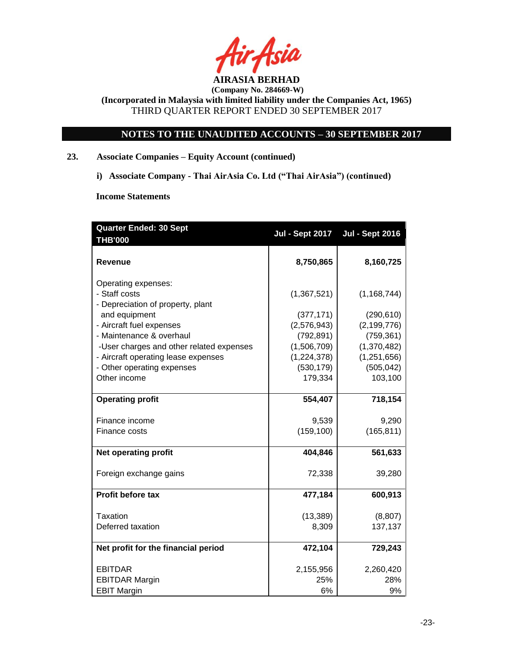

**(Incorporated in Malaysia with limited liability under the Companies Act, 1965)** THIRD QUARTER REPORT ENDED 30 SEPTEMBER 2017

# **NOTES TO THE UNAUDITED ACCOUNTS – 30 SEPTEMBER 2017**

# **23. Associate Companies – Equity Account (continued)**

**i) Associate Company - Thai AirAsia Co. Ltd ("Thai AirAsia") (continued)**

**Income Statements**

| <b>Quarter Ended: 30 Sept</b><br><b>THB'000</b> | <b>Jul - Sept 2017</b> | <b>Jul - Sept 2016</b> |
|-------------------------------------------------|------------------------|------------------------|
| Revenue                                         | 8,750,865              | 8,160,725              |
| Operating expenses:                             |                        |                        |
| - Staff costs                                   | (1,367,521)            | (1, 168, 744)          |
| - Depreciation of property, plant               |                        |                        |
| and equipment                                   | (377, 171)             | (290, 610)             |
| - Aircraft fuel expenses                        | (2,576,943)            | (2, 199, 776)          |
| - Maintenance & overhaul                        | (792, 891)             | (759, 361)             |
| -User charges and other related expenses        | (1,506,709)            | (1,370,482)            |
| - Aircraft operating lease expenses             | (1,224,378)            | (1, 251, 656)          |
| - Other operating expenses                      | (530, 179)             | (505, 042)             |
| Other income                                    | 179,334                | 103,100                |
| <b>Operating profit</b>                         | 554,407                | 718,154                |
|                                                 |                        |                        |
| Finance income                                  | 9,539                  | 9,290                  |
| Finance costs                                   | (159, 100)             | (165, 811)             |
| <b>Net operating profit</b>                     | 404,846                | 561,633                |
| Foreign exchange gains                          | 72,338                 | 39,280                 |
| Profit before tax                               | 477,184                | 600,913                |
| Taxation                                        | (13, 389)              | (8, 807)               |
| Deferred taxation                               | 8,309                  | 137,137                |
| Net profit for the financial period             | 472,104                | 729,243                |
| <b>EBITDAR</b>                                  | 2,155,956              | 2,260,420              |
| <b>EBITDAR Margin</b>                           | 25%                    | 28%                    |
| <b>EBIT Margin</b>                              | 6%                     | 9%                     |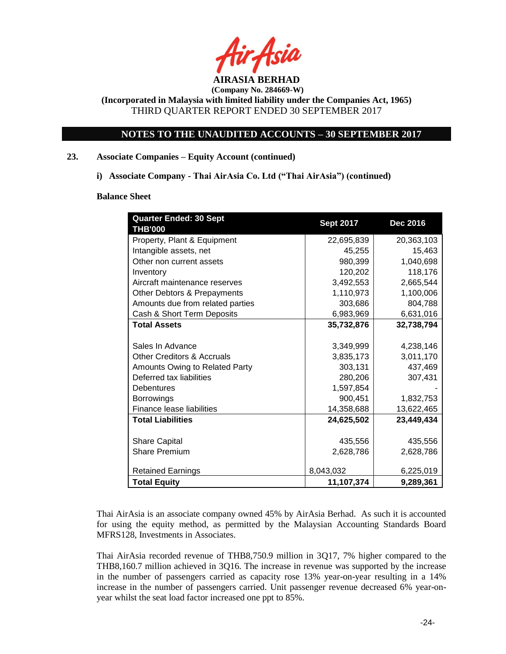

**(Incorporated in Malaysia with limited liability under the Companies Act, 1965)** THIRD QUARTER REPORT ENDED 30 SEPTEMBER 2017

# **NOTES TO THE UNAUDITED ACCOUNTS – 30 SEPTEMBER 2017**

## **23. Associate Companies – Equity Account (continued)**

**i) Associate Company - Thai AirAsia Co. Ltd ("Thai AirAsia") (continued)**

#### **Balance Sheet**

| <b>Quarter Ended: 30 Sept</b>         | <b>Sept 2017</b> | <b>Dec 2016</b> |
|---------------------------------------|------------------|-----------------|
| <b>THB'000</b>                        |                  |                 |
| Property, Plant & Equipment           | 22,695,839       | 20,363,103      |
| Intangible assets, net                | 45,255           | 15,463          |
| Other non current assets              | 980,399          | 1,040,698       |
| Inventory                             | 120,202          | 118,176         |
| Aircraft maintenance reserves         | 3,492,553        | 2,665,544       |
| Other Debtors & Prepayments           | 1,110,973        | 1,100,006       |
| Amounts due from related parties      | 303,686          | 804,788         |
| Cash & Short Term Deposits            | 6,983,969        | 6,631,016       |
| <b>Total Assets</b>                   | 35,732,876       | 32,738,794      |
|                                       |                  |                 |
| Sales In Advance                      | 3,349,999        | 4,238,146       |
| <b>Other Creditors &amp; Accruals</b> | 3,835,173        | 3,011,170       |
| Amounts Owing to Related Party        | 303,131          | 437,469         |
| Deferred tax liabilities              | 280,206          | 307,431         |
| <b>Debentures</b>                     | 1,597,854        |                 |
| <b>Borrowings</b>                     | 900.451          | 1,832,753       |
| Finance lease liabilities             | 14,358,688       | 13,622,465      |
| <b>Total Liabilities</b>              | 24,625,502       | 23,449,434      |
|                                       |                  |                 |
| <b>Share Capital</b>                  | 435,556          | 435,556         |
| <b>Share Premium</b>                  | 2,628,786        | 2,628,786       |
|                                       |                  |                 |
| <b>Retained Earnings</b>              | 8,043,032        | 6,225,019       |
| <b>Total Equity</b>                   | 11,107,374       | 9,289,361       |

Thai AirAsia is an associate company owned 45% by AirAsia Berhad. As such it is accounted for using the equity method, as permitted by the Malaysian Accounting Standards Board MFRS128, Investments in Associates.

Thai AirAsia recorded revenue of THB8,750.9 million in 3Q17, 7% higher compared to the THB8,160.7 million achieved in 3Q16. The increase in revenue was supported by the increase in the number of passengers carried as capacity rose 13% year-on-year resulting in a 14% increase in the number of passengers carried. Unit passenger revenue decreased 6% year-onyear whilst the seat load factor increased one ppt to 85%.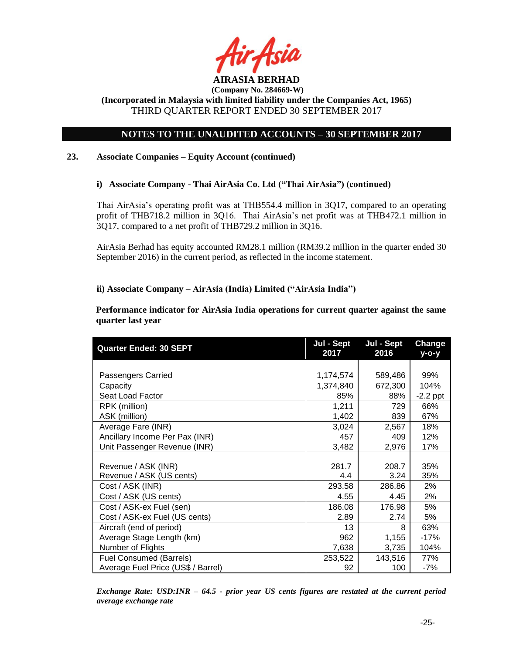

**(Incorporated in Malaysia with limited liability under the Companies Act, 1965)** THIRD QUARTER REPORT ENDED 30 SEPTEMBER 2017

# **NOTES TO THE UNAUDITED ACCOUNTS – 30 SEPTEMBER 2017**

## **23. Associate Companies – Equity Account (continued)**

## **i) Associate Company - Thai AirAsia Co. Ltd ("Thai AirAsia") (continued)**

Thai AirAsia's operating profit was at THB554.4 million in 3Q17, compared to an operating profit of THB718.2 million in 3Q16. Thai AirAsia's net profit was at THB472.1 million in 3Q17, compared to a net profit of THB729.2 million in 3Q16.

AirAsia Berhad has equity accounted RM28.1 million (RM39.2 million in the quarter ended 30 September 2016) in the current period, as reflected in the income statement.

## **ii) Associate Company – AirAsia (India) Limited ("AirAsia India")**

**Performance indicator for AirAsia India operations for current quarter against the same quarter last year**

| <b>Quarter Ended: 30 SEPT</b>      | Jul - Sept<br>2017 | Jul - Sept<br>2016 | <b>Change</b><br>у-о-у |
|------------------------------------|--------------------|--------------------|------------------------|
|                                    |                    |                    |                        |
| Passengers Carried                 | 1,174,574          | 589,486            | 99%                    |
| Capacity                           | 1,374,840          | 672,300            | 104%                   |
| Seat Load Factor                   | 85%                | 88%                | $-2.2$ ppt             |
| RPK (million)                      | 1,211              | 729                | 66%                    |
| ASK (million)                      | 1,402              | 839                | 67%                    |
| Average Fare (INR)                 | 3,024              | 2,567              | 18%                    |
| Ancillary Income Per Pax (INR)     | 457                | 409                | 12%                    |
| Unit Passenger Revenue (INR)       | 3,482              | 2,976              | 17%                    |
|                                    |                    |                    |                        |
| Revenue / ASK (INR)                | 281.7              | 208.7              | 35%                    |
| Revenue / ASK (US cents)           | 4.4                | 3.24               | 35%                    |
| Cost / ASK (INR)                   | 293.58             | 286.86             | 2%                     |
| Cost / ASK (US cents)              | 4.55               | 4.45               | 2%                     |
| Cost / ASK-ex Fuel (sen)           | 186.08             | 176.98             | 5%                     |
| Cost / ASK-ex Fuel (US cents)      | 2.89               | 2.74               | 5%                     |
| Aircraft (end of period)           | 13                 | 8                  | 63%                    |
| Average Stage Length (km)          | 962                | 1,155              | $-17%$                 |
| Number of Flights                  | 7,638              | 3,735              | 104%                   |
| <b>Fuel Consumed (Barrels)</b>     | 253,522            | 143,516            | 77%                    |
| Average Fuel Price (US\$ / Barrel) | 92                 | 100                | -7%                    |

*Exchange Rate: USD:INR – 64.5 - prior year US cents figures are restated at the current period average exchange rate*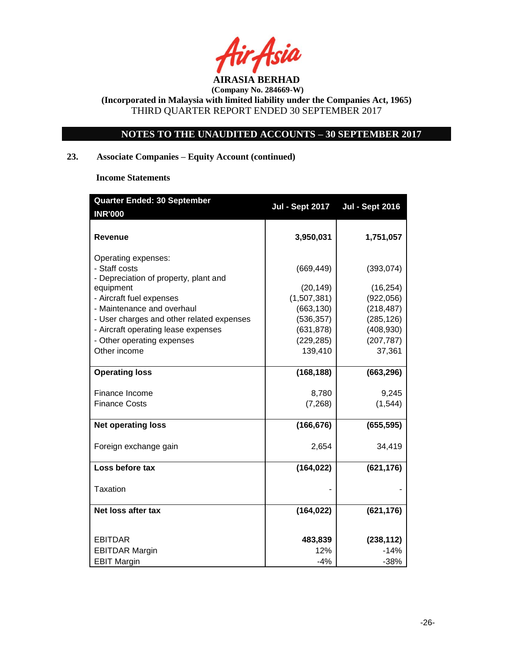

**(Incorporated in Malaysia with limited liability under the Companies Act, 1965)** THIRD QUARTER REPORT ENDED 30 SEPTEMBER 2017

# **NOTES TO THE UNAUDITED ACCOUNTS – 30 SEPTEMBER 2017**

# **23. Associate Companies – Equity Account (continued)**

**Income Statements**

| <b>Quarter Ended: 30 September</b>                                               |                          |                          |
|----------------------------------------------------------------------------------|--------------------------|--------------------------|
| <b>INR'000</b>                                                                   | <b>Jul - Sept 2017</b>   | <b>Jul - Sept 2016</b>   |
| Revenue                                                                          | 3,950,031                | 1,751,057                |
| Operating expenses:<br>- Staff costs<br>- Depreciation of property, plant and    | (669, 449)               | (393, 074)               |
| equipment                                                                        | (20, 149)                | (16, 254)                |
| - Aircraft fuel expenses                                                         | (1,507,381)              | (922, 056)               |
| - Maintenance and overhaul                                                       | (663, 130)               | (218, 487)               |
| - User charges and other related expenses<br>- Aircraft operating lease expenses | (536, 357)<br>(631, 878) | (285, 126)<br>(408, 930) |
| - Other operating expenses                                                       | (229, 285)               | (207, 787)               |
| Other income                                                                     | 139,410                  | 37,361                   |
|                                                                                  |                          |                          |
| <b>Operating loss</b>                                                            | (168, 188)               | (663, 296)               |
| Finance Income                                                                   | 8,780                    | 9,245                    |
| <b>Finance Costs</b>                                                             | (7, 268)                 | (1, 544)                 |
| <b>Net operating loss</b>                                                        | (166, 676)               | (655, 595)               |
| Foreign exchange gain                                                            | 2,654                    | 34,419                   |
| Loss before tax                                                                  | (164, 022)               | (621, 176)               |
| <b>Taxation</b>                                                                  |                          |                          |
| Net loss after tax                                                               | (164, 022)               | (621, 176)               |
| <b>EBITDAR</b>                                                                   | 483,839                  | (238, 112)               |
| <b>EBITDAR Margin</b>                                                            | 12%                      | $-14%$                   |
| <b>EBIT Margin</b>                                                               | $-4%$                    | $-38%$                   |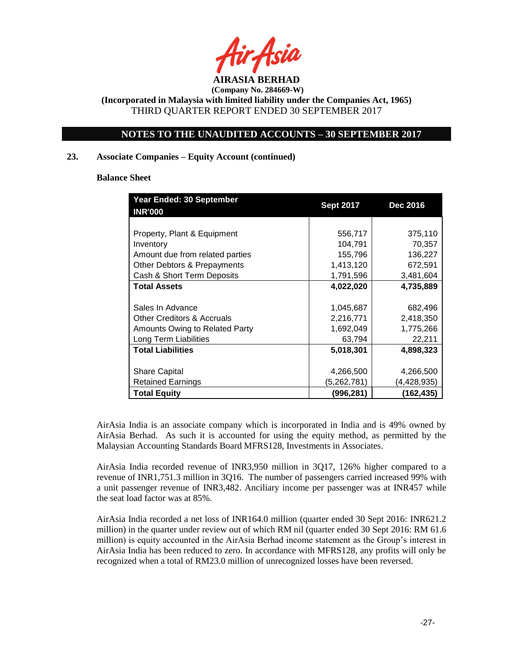

**(Incorporated in Malaysia with limited liability under the Companies Act, 1965)** THIRD QUARTER REPORT ENDED 30 SEPTEMBER 2017

# **NOTES TO THE UNAUDITED ACCOUNTS – 30 SEPTEMBER 2017**

#### **23. Associate Companies – Equity Account (continued)**

**Balance Sheet**

| Year Ended: 30 September              |                  |                 |
|---------------------------------------|------------------|-----------------|
| <b>INR'000</b>                        | <b>Sept 2017</b> | <b>Dec 2016</b> |
|                                       |                  |                 |
| Property, Plant & Equipment           | 556,717          | 375,110         |
| Inventory                             | 104,791          | 70,357          |
| Amount due from related parties       | 155,796          | 136,227         |
| Other Debtors & Prepayments           | 1,413,120        | 672,591         |
| Cash & Short Term Deposits            | 1,791,596        | 3,481,604       |
| <b>Total Assets</b>                   | 4,022,020        | 4,735,889       |
|                                       |                  |                 |
| Sales In Advance                      | 1,045,687        | 682,496         |
| <b>Other Creditors &amp; Accruals</b> | 2,216,771        | 2,418,350       |
| Amounts Owing to Related Party        | 1,692,049        | 1,775,266       |
| Long Term Liabilities                 | 63,794           | 22,211          |
| <b>Total Liabilities</b>              | 5,018,301        | 4,898,323       |
|                                       |                  |                 |
| <b>Share Capital</b>                  | 4,266,500        | 4,266,500       |
| Retained Earnings                     | (5,262,781)      | (4,428,935)     |
| <b>Total Equity</b>                   | (996,281)        | (162,435)       |

AirAsia India is an associate company which is incorporated in India and is 49% owned by AirAsia Berhad. As such it is accounted for using the equity method, as permitted by the Malaysian Accounting Standards Board MFRS128, Investments in Associates.

AirAsia India recorded revenue of INR3,950 million in 3Q17, 126% higher compared to a revenue of INR1,751.3 million in 3Q16. The number of passengers carried increased 99% with a unit passenger revenue of INR3,482. Anciliary income per passenger was at INR457 while the seat load factor was at 85%.

AirAsia India recorded a net loss of INR164.0 million (quarter ended 30 Sept 2016: INR621.2 million) in the quarter under review out of which RM nil (quarter ended 30 Sept 2016: RM 61.6 million) is equity accounted in the AirAsia Berhad income statement as the Group's interest in AirAsia India has been reduced to zero. In accordance with MFRS128, any profits will only be recognized when a total of RM23.0 million of unrecognized losses have been reversed.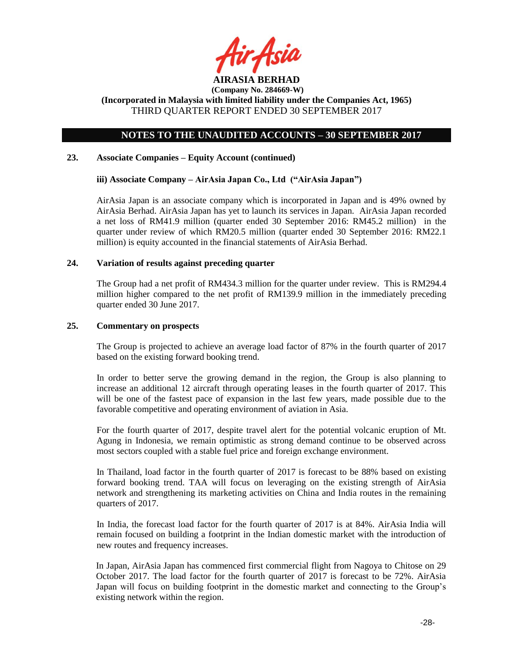

**(Incorporated in Malaysia with limited liability under the Companies Act, 1965)** THIRD QUARTER REPORT ENDED 30 SEPTEMBER 2017

# **NOTES TO THE UNAUDITED ACCOUNTS – 30 SEPTEMBER 2017**

#### **23. Associate Companies – Equity Account (continued)**

#### **iii) Associate Company – AirAsia Japan Co., Ltd ("AirAsia Japan")**

AirAsia Japan is an associate company which is incorporated in Japan and is 49% owned by AirAsia Berhad. AirAsia Japan has yet to launch its services in Japan. AirAsia Japan recorded a net loss of RM41.9 million (quarter ended 30 September 2016: RM45.2 million) in the quarter under review of which RM20.5 million (quarter ended 30 September 2016: RM22.1 million) is equity accounted in the financial statements of AirAsia Berhad.

#### **24. Variation of results against preceding quarter**

The Group had a net profit of RM434.3 million for the quarter under review. This is RM294.4 million higher compared to the net profit of RM139.9 million in the immediately preceding quarter ended 30 June 2017.

#### **25. Commentary on prospects**

The Group is projected to achieve an average load factor of 87% in the fourth quarter of 2017 based on the existing forward booking trend.

In order to better serve the growing demand in the region, the Group is also planning to increase an additional 12 aircraft through operating leases in the fourth quarter of 2017. This will be one of the fastest pace of expansion in the last few years, made possible due to the favorable competitive and operating environment of aviation in Asia.

For the fourth quarter of 2017, despite travel alert for the potential volcanic eruption of Mt. Agung in Indonesia, we remain optimistic as strong demand continue to be observed across most sectors coupled with a stable fuel price and foreign exchange environment.

In Thailand, load factor in the fourth quarter of 2017 is forecast to be 88% based on existing forward booking trend. TAA will focus on leveraging on the existing strength of AirAsia network and strengthening its marketing activities on China and India routes in the remaining quarters of 2017.

In India, the forecast load factor for the fourth quarter of 2017 is at 84%. AirAsia India will remain focused on building a footprint in the Indian domestic market with the introduction of new routes and frequency increases.

In Japan, AirAsia Japan has commenced first commercial flight from Nagoya to Chitose on 29 October 2017. The load factor for the fourth quarter of 2017 is forecast to be 72%. AirAsia Japan will focus on building footprint in the domestic market and connecting to the Group's existing network within the region.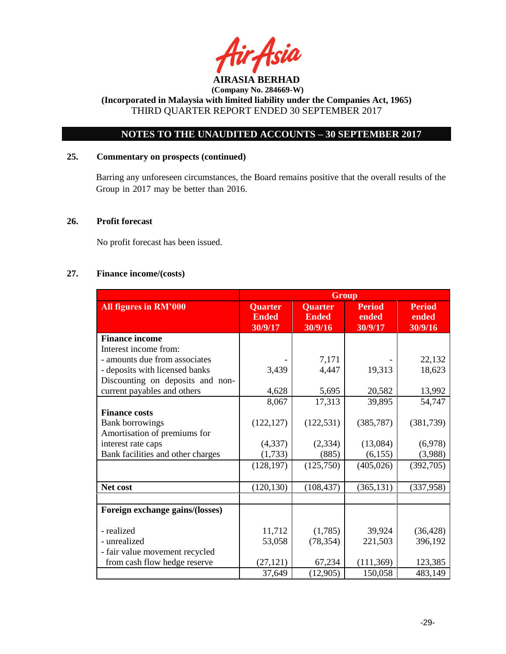

# **NOTES TO THE UNAUDITED ACCOUNTS – 30 SEPTEMBER 2017**

# **25. Commentary on prospects (continued)**

Barring any unforeseen circumstances, the Board remains positive that the overall results of the Group in 2017 may be better than 2016.

#### **26. Profit forecast**

No profit forecast has been issued.

# **27. Finance income/(costs)**

|                                   | <b>Group</b>                       |                                           |                                   |                                   |
|-----------------------------------|------------------------------------|-------------------------------------------|-----------------------------------|-----------------------------------|
| All figures in RM'000             | Quarter<br><b>Ended</b><br>30/9/17 | <b>Quarter</b><br><b>Ended</b><br>30/9/16 | <b>Period</b><br>ended<br>30/9/17 | <b>Period</b><br>ended<br>30/9/16 |
| <b>Finance income</b>             |                                    |                                           |                                   |                                   |
| Interest income from:             |                                    |                                           |                                   |                                   |
| - amounts due from associates     |                                    | 7,171                                     |                                   | 22,132                            |
| - deposits with licensed banks    | 3,439                              | 4,447                                     | 19,313                            | 18,623                            |
| Discounting on deposits and non-  |                                    |                                           |                                   |                                   |
| current payables and others       | 4,628                              | 5,695                                     | 20,582                            | 13,992                            |
|                                   | 8,067                              | 17,313                                    | 39,895                            | 54,747                            |
| <b>Finance costs</b>              |                                    |                                           |                                   |                                   |
| <b>Bank borrowings</b>            | (122, 127)                         | (122, 531)                                | (385, 787)                        | (381, 739)                        |
| Amortisation of premiums for      |                                    |                                           |                                   |                                   |
| interest rate caps                | (4, 337)                           | (2, 334)                                  | (13,084)                          | (6,978)                           |
| Bank facilities and other charges | (1,733)                            | (885)                                     | (6,155)                           | (3,988)                           |
|                                   | (128, 197)                         | (125,750)                                 | (405, 026)                        | (392,705)                         |
| Net cost                          | (120, 130)                         | (108, 437)                                | (365, 131)                        | (337,958)                         |
|                                   |                                    |                                           |                                   |                                   |
| Foreign exchange gains/(losses)   |                                    |                                           |                                   |                                   |
| - realized                        | 11,712                             | (1,785)                                   | 39,924                            | (36, 428)                         |
| - unrealized                      | 53,058                             | (78, 354)                                 | 221,503                           | 396,192                           |
| - fair value movement recycled    |                                    |                                           |                                   |                                   |
| from cash flow hedge reserve      | (27, 121)                          | 67,234                                    | (111, 369)                        | 123,385                           |
|                                   | 37,649                             | (12,905)                                  | 150,058                           | 483,149                           |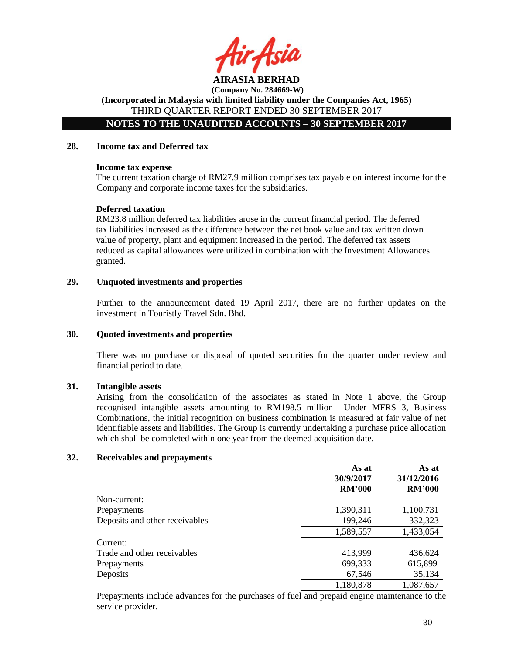

**(Company No. 284669-W) (Incorporated in Malaysia with limited liability under the Companies Act, 1965)**

THIRD QUARTER REPORT ENDED 30 SEPTEMBER 2017

**NOTES TO THE UNAUDITED ACCOUNTS – 30 SEPTEMBER 2017**

#### **28. Income tax and Deferred tax**

#### **Income tax expense**

The current taxation charge of RM27.9 million comprises tax payable on interest income for the Company and corporate income taxes for the subsidiaries.

#### **Deferred taxation**

RM23.8 million deferred tax liabilities arose in the current financial period. The deferred tax liabilities increased as the difference between the net book value and tax written down value of property, plant and equipment increased in the period. The deferred tax assets reduced as capital allowances were utilized in combination with the Investment Allowances granted.

#### **29. Unquoted investments and properties**

Further to the announcement dated 19 April 2017, there are no further updates on the investment in Touristly Travel Sdn. Bhd.

#### **30. Quoted investments and properties**

There was no purchase or disposal of quoted securities for the quarter under review and financial period to date.

#### **31. Intangible assets**

Arising from the consolidation of the associates as stated in Note 1 above, the Group recognised intangible assets amounting to RM198.5 million Under MFRS 3, Business Combinations, the initial recognition on business combination is measured at fair value of net identifiable assets and liabilities. The Group is currently undertaking a purchase price allocation which shall be completed within one year from the deemed acquisition date.

#### **32. Receivables and prepayments**

|                                | As at<br>30/9/2017 | As at<br>31/12/2016 |
|--------------------------------|--------------------|---------------------|
|                                | <b>RM'000</b>      | <b>RM'000</b>       |
| Non-current:                   |                    |                     |
| Prepayments                    | 1,390,311          | 1,100,731           |
| Deposits and other receivables | 199,246            | 332,323             |
|                                | 1,589,557          | 1,433,054           |
| Current:                       |                    |                     |
| Trade and other receivables    | 413,999            | 436,624             |
| Prepayments                    | 699,333            | 615,899             |
| Deposits                       | 67,546             | 35,134              |
|                                | 1,180,878          | 1,087,657           |

Prepayments include advances for the purchases of fuel and prepaid engine maintenance to the service provider.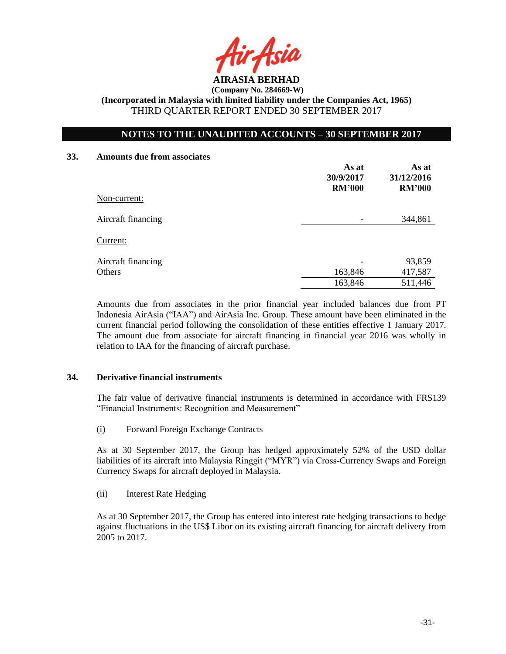

**(Company No. 284669-W) (Incorporated in Malaysia with limited liability under the Companies Act, 1965)**

THIRD QUARTER REPORT ENDED 30 SEPTEMBER 2017

# **NOTES TO THE UNAUDITED ACCOUNTS – 30 SEPTEMBER 2017**

#### **33. Amounts due from associates**

| Non-current:       | As at<br>30/9/2017<br><b>RM'000</b> | As at<br>31/12/2016<br><b>RM'000</b> |
|--------------------|-------------------------------------|--------------------------------------|
| Aircraft financing |                                     | 344,861                              |
| Current:           |                                     |                                      |
| Aircraft financing |                                     | 93,859                               |
| Others             | 163,846                             | 417,587                              |
|                    | 163,846                             | 511,446                              |

Amounts due from associates in the prior financial year included balances due from PT Indonesia AirAsia ("IAA") and AirAsia Inc. Group. These amount have been eliminated in the current financial period following the consolidation of these entities effective 1 January 2017. The amount due from associate for aircraft financing in financial year 2016 was wholly in relation to IAA for the financing of aircraft purchase.

#### **34. Derivative financial instruments**

The fair value of derivative financial instruments is determined in accordance with FRS139 "Financial Instruments: Recognition and Measurement"

(i) Forward Foreign Exchange Contracts

As at 30 September 2017, the Group has hedged approximately 52% of the USD dollar liabilities of its aircraft into Malaysia Ringgit ("MYR") via Cross-Currency Swaps and Foreign Currency Swaps for aircraft deployed in Malaysia.

(ii) Interest Rate Hedging

As at 30 September 2017, the Group has entered into interest rate hedging transactions to hedge against fluctuations in the US\$ Libor on its existing aircraft financing for aircraft delivery from 2005 to 2017.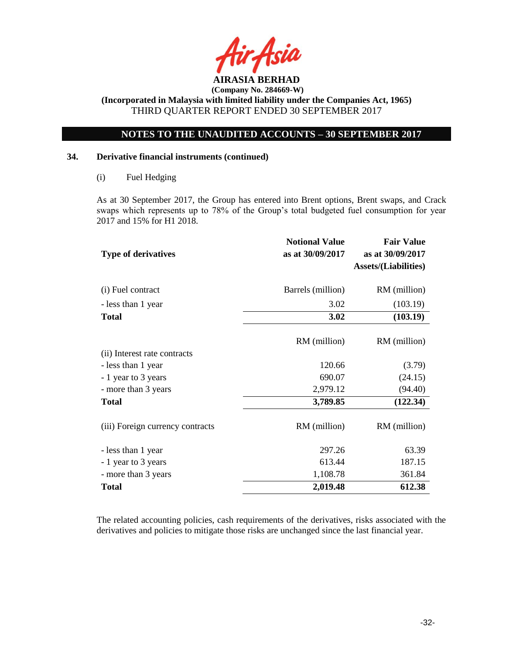

**(Incorporated in Malaysia with limited liability under the Companies Act, 1965)** THIRD QUARTER REPORT ENDED 30 SEPTEMBER 2017

# **NOTES TO THE UNAUDITED ACCOUNTS – 30 SEPTEMBER 2017**

## **34. Derivative financial instruments (continued)**

#### (i) Fuel Hedging

As at 30 September 2017, the Group has entered into Brent options, Brent swaps, and Crack swaps which represents up to 78% of the Group's total budgeted fuel consumption for year 2017 and 15% for H1 2018.

| <b>Type of derivatives</b>       | <b>Notional Value</b><br>as at 30/09/2017 | <b>Fair Value</b><br>as at 30/09/2017<br><b>Assets/(Liabilities)</b> |
|----------------------------------|-------------------------------------------|----------------------------------------------------------------------|
| (i) Fuel contract                | Barrels (million)                         | RM (million)                                                         |
| - less than 1 year               | 3.02                                      | (103.19)                                                             |
| <b>Total</b>                     | 3.02                                      | (103.19)                                                             |
|                                  | RM (million)                              | RM (million)                                                         |
| (ii) Interest rate contracts     |                                           |                                                                      |
| - less than 1 year               | 120.66                                    | (3.79)                                                               |
| - 1 year to 3 years              | 690.07                                    | (24.15)                                                              |
| - more than 3 years              | 2,979.12                                  | (94.40)                                                              |
| <b>Total</b>                     | 3,789.85                                  | (122.34)                                                             |
| (iii) Foreign currency contracts | RM (million)                              | RM (million)                                                         |
| - less than 1 year               | 297.26                                    | 63.39                                                                |
| - 1 year to 3 years              | 613.44                                    | 187.15                                                               |
| - more than 3 years              | 1,108.78                                  | 361.84                                                               |
| <b>Total</b>                     | 2,019.48                                  | 612.38                                                               |

The related accounting policies, cash requirements of the derivatives, risks associated with the derivatives and policies to mitigate those risks are unchanged since the last financial year.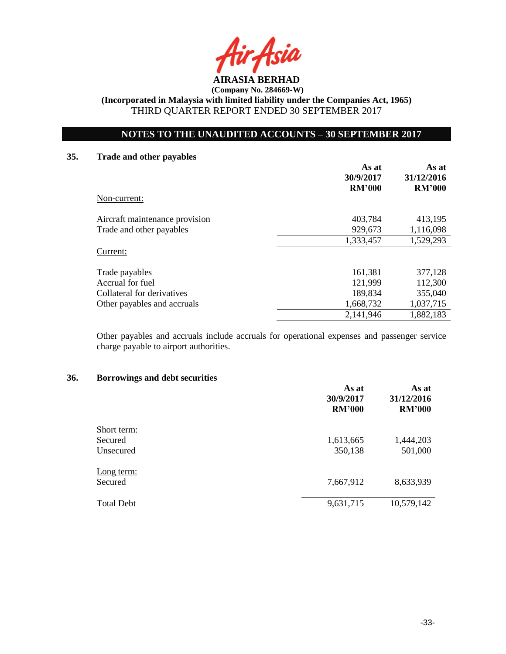

**(Incorporated in Malaysia with limited liability under the Companies Act, 1965)** THIRD QUARTER REPORT ENDED 30 SEPTEMBER 2017

# **NOTES TO THE UNAUDITED ACCOUNTS – 30 SEPTEMBER 2017**

#### **35. Trade and other payables**

|                                | As at<br>30/9/2017<br><b>RM'000</b> | As at<br>31/12/2016<br><b>RM'000</b> |
|--------------------------------|-------------------------------------|--------------------------------------|
| Non-current:                   |                                     |                                      |
| Aircraft maintenance provision | 403,784                             | 413,195                              |
| Trade and other payables       | 929,673                             | 1,116,098                            |
|                                | 1,333,457                           | 1,529,293                            |
| Current:                       |                                     |                                      |
| Trade payables                 | 161,381                             | 377,128                              |
| Accrual for fuel               | 121,999                             | 112,300                              |
| Collateral for derivatives     | 189,834                             | 355,040                              |
| Other payables and accruals    | 1,668,732                           | 1,037,715                            |
|                                | 2,141,946                           | 1,882,183                            |

Other payables and accruals include accruals for operational expenses and passenger service charge payable to airport authorities.

#### **36. Borrowings and debt securities**

|                   | As at<br>30/9/2017<br><b>RM'000</b> | As at<br>31/12/2016<br><b>RM'000</b> |
|-------------------|-------------------------------------|--------------------------------------|
| Short term:       |                                     |                                      |
| Secured           | 1,613,665                           | 1,444,203                            |
| Unsecured         | 350,138                             | 501,000                              |
| <u>Long</u> term: |                                     |                                      |
| Secured           | 7,667,912                           | 8,633,939                            |
| <b>Total Debt</b> | 9,631,715                           | 10,579,142                           |
|                   |                                     |                                      |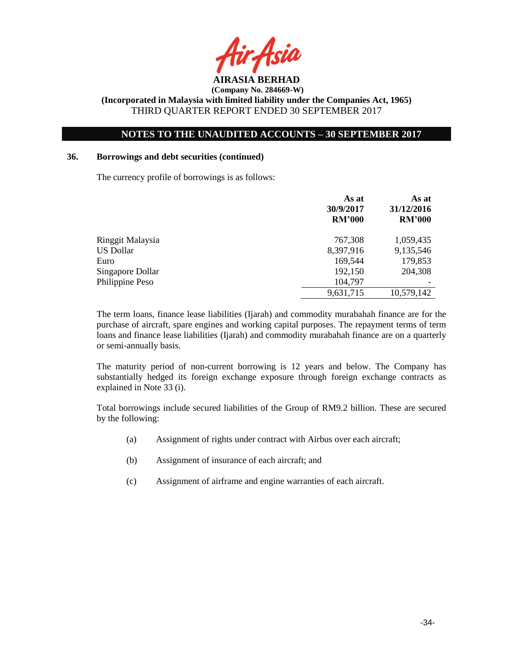

# **NOTES TO THE UNAUDITED ACCOUNTS – 30 SEPTEMBER 2017**

#### **36. Borrowings and debt securities (continued)**

The currency profile of borrowings is as follows:

|                  | As at<br>30/9/2017<br><b>RM'000</b> | As at<br>31/12/2016<br><b>RM'000</b> |
|------------------|-------------------------------------|--------------------------------------|
| Ringgit Malaysia | 767,308                             | 1,059,435                            |
| <b>US Dollar</b> | 8,397,916                           | 9,135,546                            |
| Euro             | 169,544                             | 179,853                              |
| Singapore Dollar | 192,150                             | 204,308                              |
| Philippine Peso  | 104,797                             |                                      |
|                  | 9,631,715                           | 10,579,142                           |

The term loans, finance lease liabilities (Ijarah) and commodity murabahah finance are for the purchase of aircraft, spare engines and working capital purposes. The repayment terms of term loans and finance lease liabilities (Ijarah) and commodity murabahah finance are on a quarterly or semi-annually basis.

The maturity period of non-current borrowing is 12 years and below. The Company has substantially hedged its foreign exchange exposure through foreign exchange contracts as explained in Note 33 (i).

Total borrowings include secured liabilities of the Group of RM9.2 billion. These are secured by the following:

- (a) Assignment of rights under contract with Airbus over each aircraft;
- (b) Assignment of insurance of each aircraft; and
- (c) Assignment of airframe and engine warranties of each aircraft.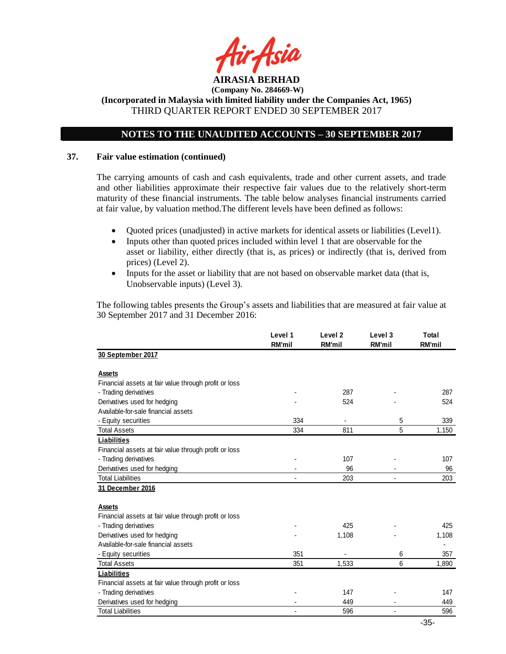

**(Incorporated in Malaysia with limited liability under the Companies Act, 1965)** THIRD QUARTER REPORT ENDED 30 SEPTEMBER 2017

# **NOTES TO THE UNAUDITED ACCOUNTS – 30 SEPTEMBER 2017**

#### **37. Fair value estimation (continued)**

The carrying amounts of cash and cash equivalents, trade and other current assets, and trade and other liabilities approximate their respective fair values due to the relatively short-term maturity of these financial instruments. The table below analyses financial instruments carried at fair value, by valuation method.The different levels have been defined as follows:

- Quoted prices (unadjusted) in active markets for identical assets or liabilities (Level1).
- Inputs other than quoted prices included within level 1 that are observable for the asset or liability, either directly (that is, as prices) or indirectly (that is, derived from prices) (Level 2).
- Inputs for the asset or liability that are not based on observable market data (that is, Unobservable inputs) (Level 3).

The following tables presents the Group's assets and liabilities that are measured at fair value at 30 September 2017 and 31 December 2016:

|                                                       | Level 1<br>RM'mil | Level <sub>2</sub><br>RM'mil | Level 3<br><b>RM'mil</b> | Total<br>RM'mil |
|-------------------------------------------------------|-------------------|------------------------------|--------------------------|-----------------|
| 30 September 2017                                     |                   |                              |                          |                 |
| Assets                                                |                   |                              |                          |                 |
| Financial assets at fair value through profit or loss |                   |                              |                          |                 |
| - Trading derivatives                                 |                   | 287                          |                          | 287             |
| Derivatives used for hedging                          |                   | 524                          |                          | 524             |
| Available-for-sale financial assets                   |                   |                              |                          |                 |
| - Equity securities                                   | 334               |                              | 5                        | 339             |
| <b>Total Assets</b>                                   | 334               | 811                          | 5                        | 1,150           |
| <b>Liabilities</b>                                    |                   |                              |                          |                 |
| Financial assets at fair value through profit or loss |                   |                              |                          |                 |
| - Trading derivatives                                 |                   | 107                          |                          | 107             |
| Derivatives used for hedging                          |                   | 96                           |                          | 96              |
| <b>Total Liabilities</b>                              |                   | 203                          |                          | 203             |
| 31 December 2016                                      |                   |                              |                          |                 |
|                                                       |                   |                              |                          |                 |
| Assets                                                |                   |                              |                          |                 |
| Financial assets at fair value through profit or loss |                   |                              |                          |                 |
| - Trading derivatives                                 |                   | 425                          |                          | 425             |
| Derivatives used for hedging                          |                   | 1,108                        |                          | 1,108           |
| Available-for-sale financial assets                   |                   |                              |                          |                 |
| - Equity securities                                   | 351               |                              | 6                        | 357             |
| <b>Total Assets</b>                                   | 351               | 1,533                        | 6                        | 1,890           |
| Liabilities                                           |                   |                              |                          |                 |
| Financial assets at fair value through profit or loss |                   |                              |                          |                 |
| - Trading derivatives                                 |                   | 147                          |                          | 147             |
| Derivatives used for hedging                          |                   | 449                          |                          | 449             |
| <b>Total Liabilities</b>                              |                   | 596                          | ٠                        | 596             |
|                                                       |                   |                              |                          | $\sim$ $\sim$   |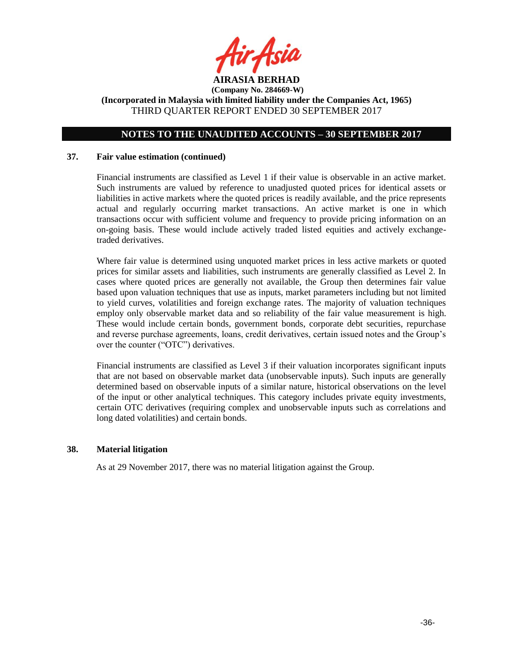

# **NOTES TO THE UNAUDITED ACCOUNTS – 30 SEPTEMBER 2017**

#### **37. Fair value estimation (continued)**

Financial instruments are classified as Level 1 if their value is observable in an active market. Such instruments are valued by reference to unadjusted quoted prices for identical assets or liabilities in active markets where the quoted prices is readily available, and the price represents actual and regularly occurring market transactions. An active market is one in which transactions occur with sufficient volume and frequency to provide pricing information on an on-going basis. These would include actively traded listed equities and actively exchangetraded derivatives.

Where fair value is determined using unquoted market prices in less active markets or quoted prices for similar assets and liabilities, such instruments are generally classified as Level 2. In cases where quoted prices are generally not available, the Group then determines fair value based upon valuation techniques that use as inputs, market parameters including but not limited to yield curves, volatilities and foreign exchange rates. The majority of valuation techniques employ only observable market data and so reliability of the fair value measurement is high. These would include certain bonds, government bonds, corporate debt securities, repurchase and reverse purchase agreements, loans, credit derivatives, certain issued notes and the Group's over the counter ("OTC") derivatives.

Financial instruments are classified as Level 3 if their valuation incorporates significant inputs that are not based on observable market data (unobservable inputs). Such inputs are generally determined based on observable inputs of a similar nature, historical observations on the level of the input or other analytical techniques. This category includes private equity investments, certain OTC derivatives (requiring complex and unobservable inputs such as correlations and long dated volatilities) and certain bonds.

#### **38. Material litigation**

As at 29 November 2017, there was no material litigation against the Group.